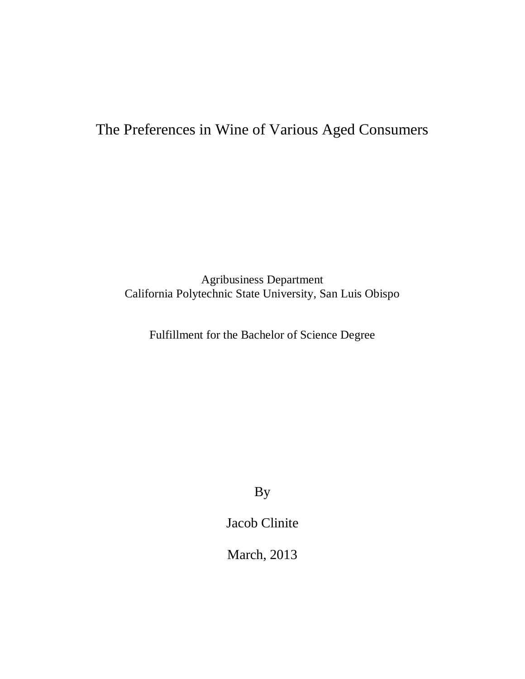# The Preferences in Wine of Various Aged Consumers

Agribusiness Department California Polytechnic State University, San Luis Obispo

Fulfillment for the Bachelor of Science Degree

By

Jacob Clinite

March, 2013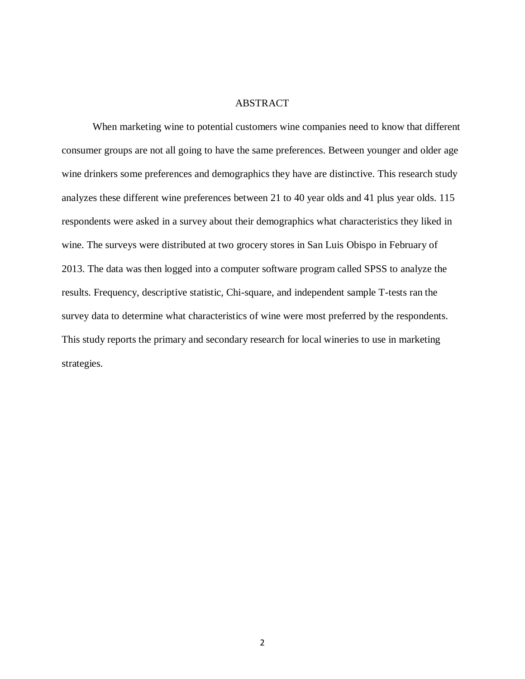# ABSTRACT

When marketing wine to potential customers wine companies need to know that different consumer groups are not all going to have the same preferences. Between younger and older age wine drinkers some preferences and demographics they have are distinctive. This research study analyzes these different wine preferences between 21 to 40 year olds and 41 plus year olds. 115 respondents were asked in a survey about their demographics what characteristics they liked in wine. The surveys were distributed at two grocery stores in San Luis Obispo in February of 2013. The data was then logged into a computer software program called SPSS to analyze the results. Frequency, descriptive statistic, Chi-square, and independent sample T-tests ran the survey data to determine what characteristics of wine were most preferred by the respondents. This study reports the primary and secondary research for local wineries to use in marketing strategies.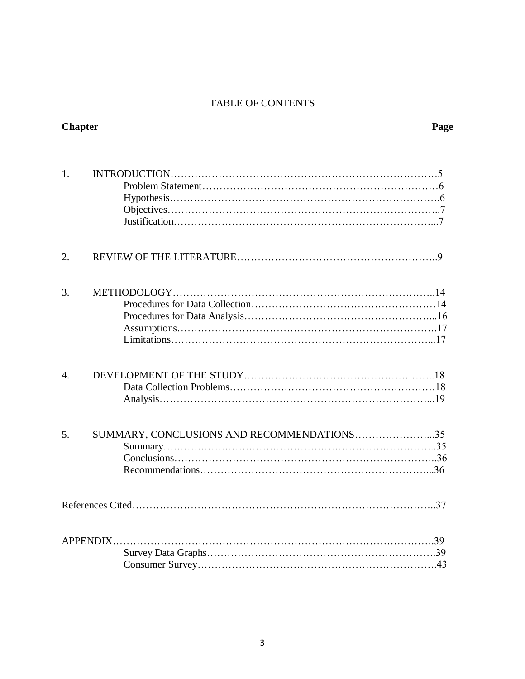# TABLE OF CONTENTS

| <b>Chapter</b>   |                                            | Page |
|------------------|--------------------------------------------|------|
| 1.               |                                            |      |
| 2.               |                                            |      |
| 3.               |                                            |      |
| $\overline{4}$ . |                                            |      |
| 5.               | SUMMARY, CONCLUSIONS AND RECOMMENDATIONS35 |      |
|                  | References Cited                           | 37   |
|                  | <b>APPENDIX</b>                            | .43  |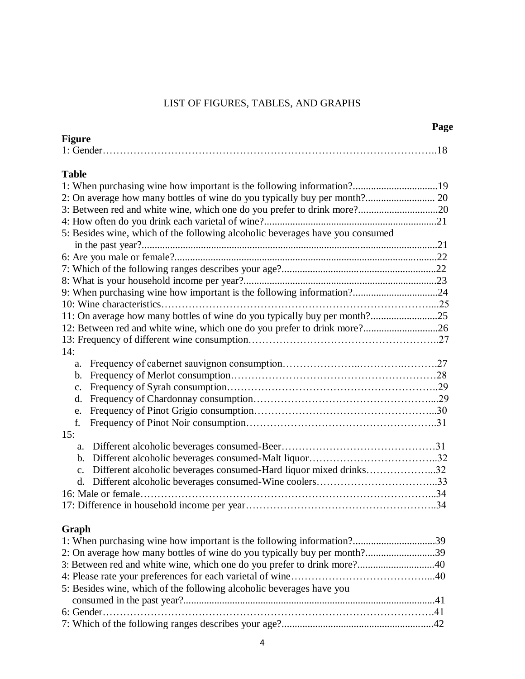# LIST OF FIGURES, TABLES, AND GRAPHS

**Page**

| <b>Figure</b>                                                                        |  |
|--------------------------------------------------------------------------------------|--|
|                                                                                      |  |
| <b>Table</b>                                                                         |  |
| 1: When purchasing wine how important is the following information?19                |  |
|                                                                                      |  |
| 3: Between red and white wine, which one do you prefer to drink more?20              |  |
|                                                                                      |  |
| 5: Besides wine, which of the following alcoholic beverages have you consumed        |  |
|                                                                                      |  |
|                                                                                      |  |
|                                                                                      |  |
|                                                                                      |  |
| 9: When purchasing wine how important is the following information?24                |  |
|                                                                                      |  |
| 11: On average how many bottles of wine do you typically buy per month?25            |  |
| 12: Between red and white wine, which one do you prefer to drink more?26             |  |
|                                                                                      |  |
| 14:                                                                                  |  |
| a.                                                                                   |  |
| b.                                                                                   |  |
| c.                                                                                   |  |
| d.                                                                                   |  |
| e.                                                                                   |  |
| f.                                                                                   |  |
| 15:                                                                                  |  |
| a.                                                                                   |  |
| b.                                                                                   |  |
| Different alcoholic beverages consumed-Hard liquor mixed drinks32<br>$\mathcal{C}$ . |  |
| d.                                                                                   |  |
|                                                                                      |  |
|                                                                                      |  |
|                                                                                      |  |
| Graph                                                                                |  |
|                                                                                      |  |
| 2: On average how many bottles of wine do you typically buy per month?39             |  |
| 3: Between red and white wine, which one do you prefer to drink more?40              |  |
|                                                                                      |  |
| 5: Besides wine, which of the following alcoholic beverages have you                 |  |
|                                                                                      |  |
|                                                                                      |  |
|                                                                                      |  |
|                                                                                      |  |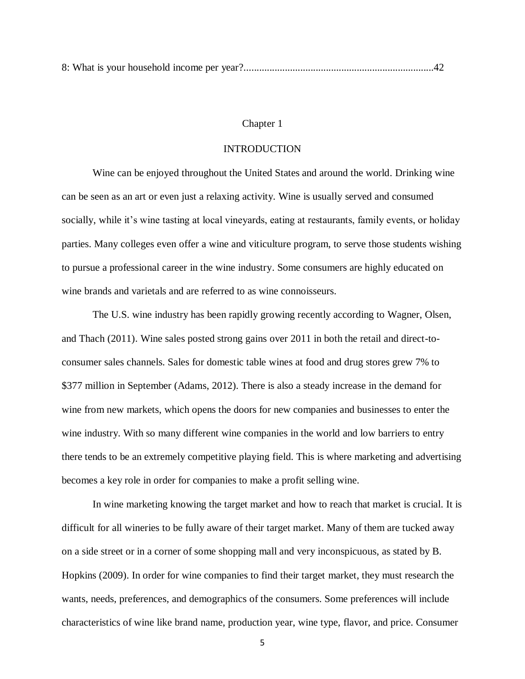#### Chapter 1

# INTRODUCTION

Wine can be enjoyed throughout the United States and around the world. Drinking wine can be seen as an art or even just a relaxing activity. Wine is usually served and consumed socially, while it's wine tasting at local vineyards, eating at restaurants, family events, or holiday parties. Many colleges even offer a wine and viticulture program, to serve those students wishing to pursue a professional career in the wine industry. Some consumers are highly educated on wine brands and varietals and are referred to as wine connoisseurs.

The U.S. wine industry has been rapidly growing recently according to Wagner, Olsen, and Thach (2011). Wine sales posted strong gains over 2011 in both the retail and direct-toconsumer sales channels. Sales for domestic table wines at food and drug stores grew 7% to \$377 million in September (Adams, 2012). There is also a steady increase in the demand for wine from new markets, which opens the doors for new companies and businesses to enter the wine industry. With so many different wine companies in the world and low barriers to entry there tends to be an extremely competitive playing field. This is where marketing and advertising becomes a key role in order for companies to make a profit selling wine.

In wine marketing knowing the target market and how to reach that market is crucial. It is difficult for all wineries to be fully aware of their target market. Many of them are tucked away on a side street or in a corner of some shopping mall and very inconspicuous, as stated by B. Hopkins (2009). In order for wine companies to find their target market, they must research the wants, needs, preferences, and demographics of the consumers. Some preferences will include characteristics of wine like brand name, production year, wine type, flavor, and price. Consumer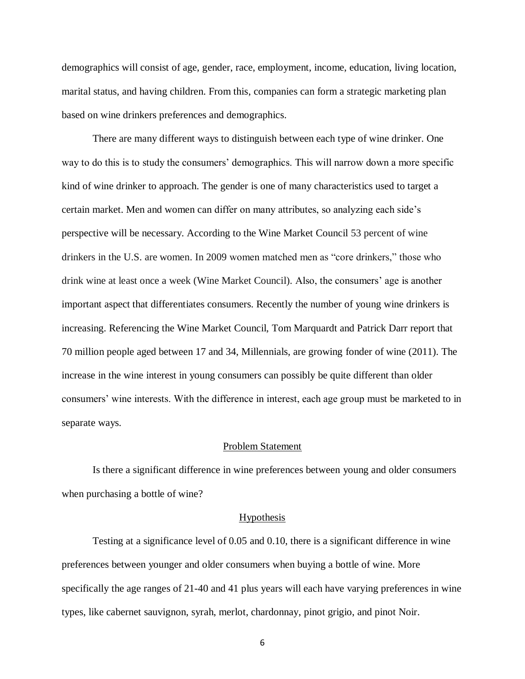demographics will consist of age, gender, race, employment, income, education, living location, marital status, and having children. From this, companies can form a strategic marketing plan based on wine drinkers preferences and demographics.

There are many different ways to distinguish between each type of wine drinker. One way to do this is to study the consumers' demographics. This will narrow down a more specific kind of wine drinker to approach. The gender is one of many characteristics used to target a certain market. Men and women can differ on many attributes, so analyzing each side's perspective will be necessary. According to the Wine Market Council 53 percent of wine drinkers in the U.S. are women. In 2009 women matched men as "core drinkers," those who drink wine at least once a week (Wine Market Council). Also, the consumers' age is another important aspect that differentiates consumers. Recently the number of young wine drinkers is increasing. Referencing the Wine Market Council, Tom Marquardt and Patrick Darr report that 70 million people aged between 17 and 34, Millennials, are growing fonder of wine (2011). The increase in the wine interest in young consumers can possibly be quite different than older consumers' wine interests. With the difference in interest, each age group must be marketed to in separate ways.

#### Problem Statement

Is there a significant difference in wine preferences between young and older consumers when purchasing a bottle of wine?

#### Hypothesis

Testing at a significance level of 0.05 and 0.10, there is a significant difference in wine preferences between younger and older consumers when buying a bottle of wine. More specifically the age ranges of 21-40 and 41 plus years will each have varying preferences in wine types, like cabernet sauvignon, syrah, merlot, chardonnay, pinot grigio, and pinot Noir.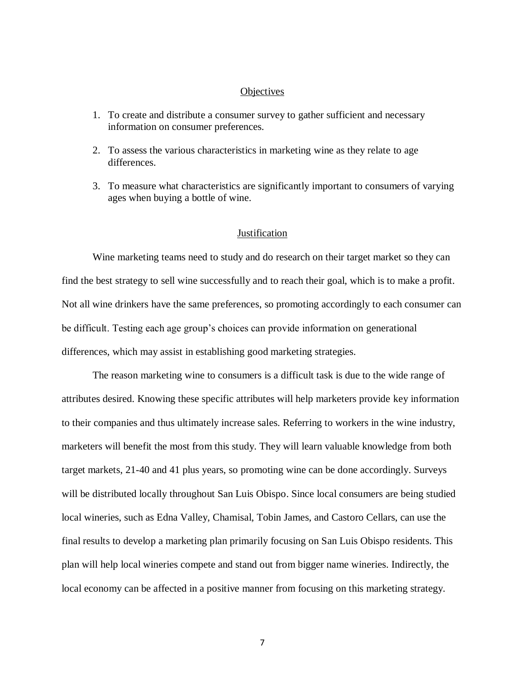# **Objectives**

- 1. To create and distribute a consumer survey to gather sufficient and necessary information on consumer preferences.
- 2. To assess the various characteristics in marketing wine as they relate to age differences.
- 3. To measure what characteristics are significantly important to consumers of varying ages when buying a bottle of wine.

#### **Justification**

Wine marketing teams need to study and do research on their target market so they can find the best strategy to sell wine successfully and to reach their goal, which is to make a profit. Not all wine drinkers have the same preferences, so promoting accordingly to each consumer can be difficult. Testing each age group's choices can provide information on generational differences, which may assist in establishing good marketing strategies.

The reason marketing wine to consumers is a difficult task is due to the wide range of attributes desired. Knowing these specific attributes will help marketers provide key information to their companies and thus ultimately increase sales. Referring to workers in the wine industry, marketers will benefit the most from this study. They will learn valuable knowledge from both target markets, 21-40 and 41 plus years, so promoting wine can be done accordingly. Surveys will be distributed locally throughout San Luis Obispo. Since local consumers are being studied local wineries, such as Edna Valley, Chamisal, Tobin James, and Castoro Cellars, can use the final results to develop a marketing plan primarily focusing on San Luis Obispo residents. This plan will help local wineries compete and stand out from bigger name wineries. Indirectly, the local economy can be affected in a positive manner from focusing on this marketing strategy.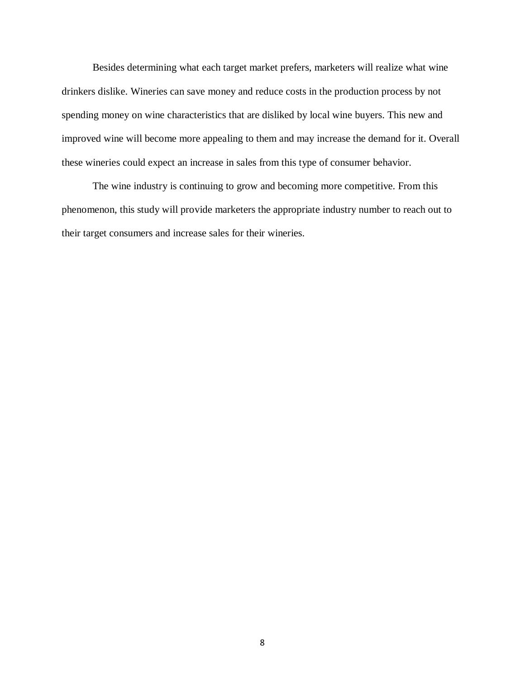Besides determining what each target market prefers, marketers will realize what wine drinkers dislike. Wineries can save money and reduce costs in the production process by not spending money on wine characteristics that are disliked by local wine buyers. This new and improved wine will become more appealing to them and may increase the demand for it. Overall these wineries could expect an increase in sales from this type of consumer behavior.

The wine industry is continuing to grow and becoming more competitive. From this phenomenon, this study will provide marketers the appropriate industry number to reach out to their target consumers and increase sales for their wineries.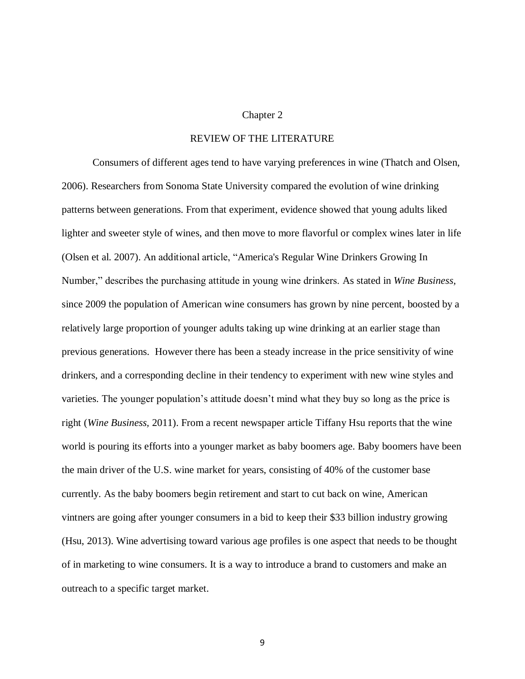# Chapter 2

# REVIEW OF THE LITERATURE

Consumers of different ages tend to have varying preferences in wine (Thatch and Olsen, 2006). Researchers from Sonoma State University compared the evolution of wine drinking patterns between generations. From that experiment, evidence showed that young adults liked lighter and sweeter style of wines, and then move to more flavorful or complex wines later in life (Olsen et al. 2007). An additional article, "America's Regular Wine Drinkers Growing In Number," describes the purchasing attitude in young wine drinkers. As stated in *Wine Business,* since 2009 the population of American wine consumers has grown by nine percent, boosted by a relatively large proportion of younger adults taking up wine drinking at an earlier stage than previous generations. However there has been a steady increase in the price sensitivity of wine drinkers, and a corresponding decline in their tendency to experiment with new wine styles and varieties. The younger population's attitude doesn't mind what they buy so long as the price is right (*Wine Business,* 2011). From a recent newspaper article Tiffany Hsu reports that the wine world is pouring its efforts into a younger market as baby boomers age. Baby boomers have been the main driver of the U.S. wine market for years, consisting of 40% of the customer base currently. As the baby boomers begin retirement and start to cut back on wine, American vintners are going after younger consumers in a bid to keep their \$33 billion industry growing (Hsu, 2013). Wine advertising toward various age profiles is one aspect that needs to be thought of in marketing to wine consumers. It is a way to introduce a brand to customers and make an outreach to a specific target market.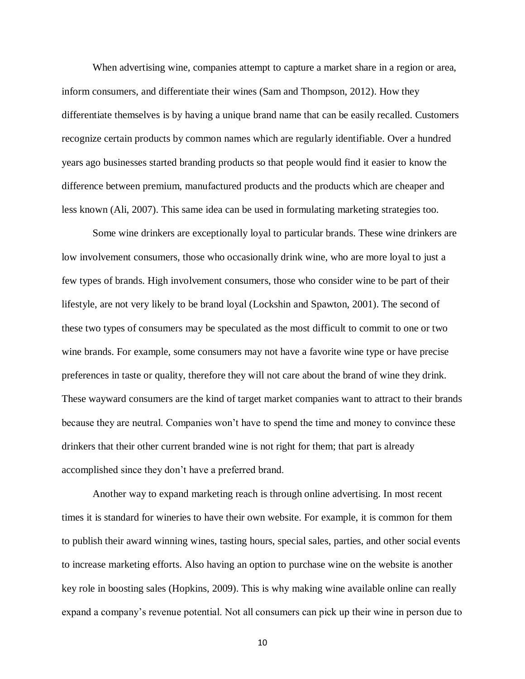When advertising wine, companies attempt to capture a market share in a region or area, inform consumers, and differentiate their wines (Sam and Thompson, 2012). How they differentiate themselves is by having a unique brand name that can be easily recalled. Customers recognize certain products by common names which are regularly identifiable. Over a hundred years ago businesses started branding products so that people would find it easier to know the difference between premium, manufactured products and the products which are cheaper and less known (Ali, 2007). This same idea can be used in formulating marketing strategies too.

Some wine drinkers are exceptionally loyal to particular brands. These wine drinkers are low involvement consumers, those who occasionally drink wine, who are more loyal to just a few types of brands. High involvement consumers, those who consider wine to be part of their lifestyle, are not very likely to be brand loyal (Lockshin and Spawton, 2001). The second of these two types of consumers may be speculated as the most difficult to commit to one or two wine brands. For example, some consumers may not have a favorite wine type or have precise preferences in taste or quality, therefore they will not care about the brand of wine they drink. These wayward consumers are the kind of target market companies want to attract to their brands because they are neutral. Companies won't have to spend the time and money to convince these drinkers that their other current branded wine is not right for them; that part is already accomplished since they don't have a preferred brand.

Another way to expand marketing reach is through online advertising. In most recent times it is standard for wineries to have their own website. For example, it is common for them to publish their award winning wines, tasting hours, special sales, parties, and other social events to increase marketing efforts. Also having an option to purchase wine on the website is another key role in boosting sales (Hopkins, 2009). This is why making wine available online can really expand a company's revenue potential. Not all consumers can pick up their wine in person due to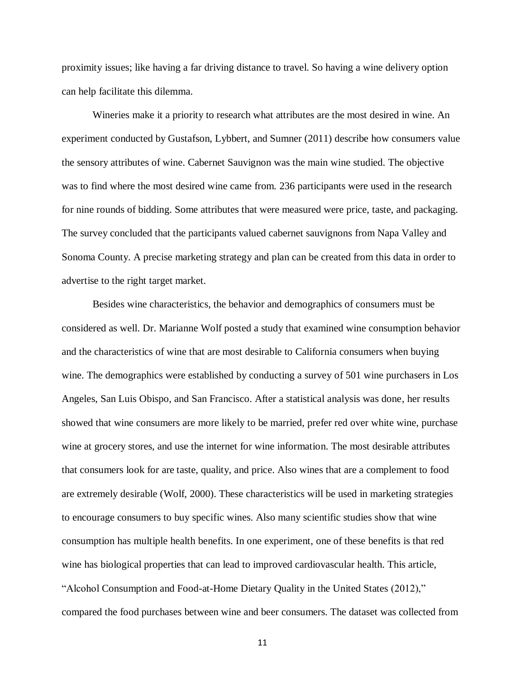proximity issues; like having a far driving distance to travel. So having a wine delivery option can help facilitate this dilemma.

Wineries make it a priority to research what attributes are the most desired in wine. An experiment conducted by Gustafson, Lybbert, and Sumner (2011) describe how consumers value the sensory attributes of wine. Cabernet Sauvignon was the main wine studied. The objective was to find where the most desired wine came from. 236 participants were used in the research for nine rounds of bidding. Some attributes that were measured were price, taste, and packaging. The survey concluded that the participants valued cabernet sauvignons from Napa Valley and Sonoma County. A precise marketing strategy and plan can be created from this data in order to advertise to the right target market.

Besides wine characteristics, the behavior and demographics of consumers must be considered as well. Dr. Marianne Wolf posted a study that examined wine consumption behavior and the characteristics of wine that are most desirable to California consumers when buying wine. The demographics were established by conducting a survey of 501 wine purchasers in Los Angeles, San Luis Obispo, and San Francisco. After a statistical analysis was done, her results showed that wine consumers are more likely to be married, prefer red over white wine, purchase wine at grocery stores, and use the internet for wine information. The most desirable attributes that consumers look for are taste, quality, and price. Also wines that are a complement to food are extremely desirable (Wolf, 2000). These characteristics will be used in marketing strategies to encourage consumers to buy specific wines. Also many scientific studies show that wine consumption has multiple health benefits. In one experiment, one of these benefits is that red wine has biological properties that can lead to improved cardiovascular health. This article, "Alcohol Consumption and Food-at-Home Dietary Quality in the United States (2012)," compared the food purchases between wine and beer consumers. The dataset was collected from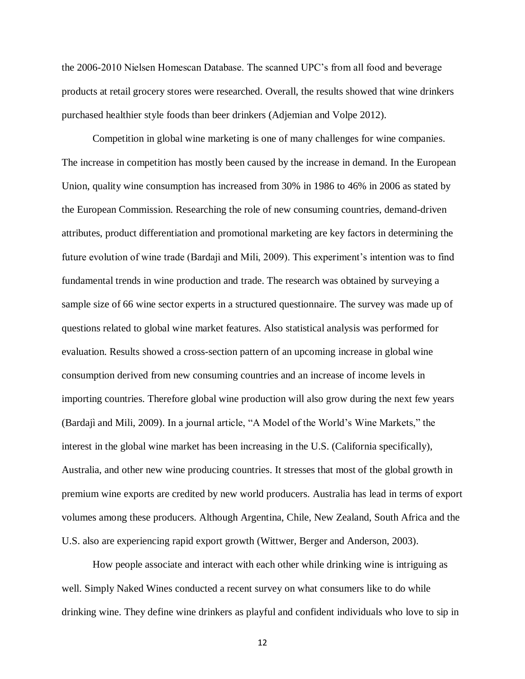the 2006-2010 Nielsen Homescan Database. The scanned UPC's from all food and beverage products at retail grocery stores were researched. Overall, the results showed that wine drinkers purchased healthier style foods than beer drinkers (Adjemian and Volpe 2012).

Competition in global wine marketing is one of many challenges for wine companies. The increase in competition has mostly been caused by the increase in demand. In the European Union, quality wine consumption has increased from 30% in 1986 to 46% in 2006 as stated by the European Commission. Researching the role of new consuming countries, demand-driven attributes, product differentiation and promotional marketing are key factors in determining the future evolution of wine trade (Bardajì and Mili, 2009). This experiment's intention was to find fundamental trends in wine production and trade. The research was obtained by surveying a sample size of 66 wine sector experts in a structured questionnaire. The survey was made up of questions related to global wine market features. Also statistical analysis was performed for evaluation. Results showed a cross-section pattern of an upcoming increase in global wine consumption derived from new consuming countries and an increase of income levels in importing countries. Therefore global wine production will also grow during the next few years (Bardajì and Mili, 2009). In a journal article, "A Model of the World's Wine Markets," the interest in the global wine market has been increasing in the U.S. (California specifically), Australia, and other new wine producing countries. It stresses that most of the global growth in premium wine exports are credited by new world producers. Australia has lead in terms of export volumes among these producers. Although Argentina, Chile, New Zealand, South Africa and the U.S. also are experiencing rapid export growth (Wittwer, Berger and Anderson, 2003).

How people associate and interact with each other while drinking wine is intriguing as well. Simply Naked Wines conducted a recent survey on what consumers like to do while drinking wine. They define wine drinkers as playful and confident individuals who love to sip in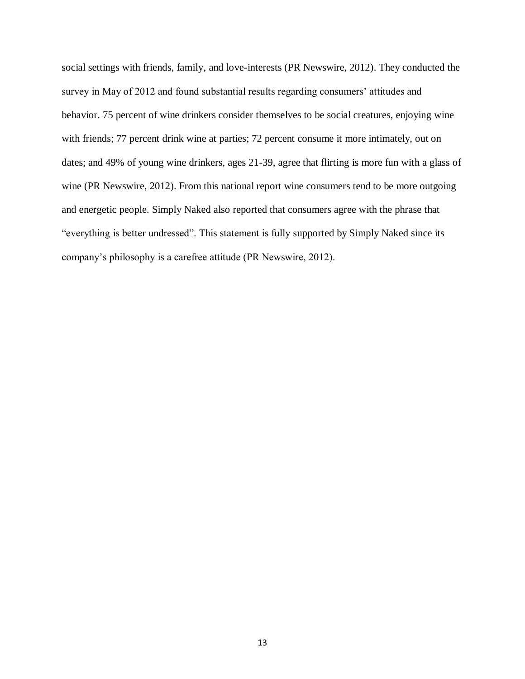social settings with friends, family, and love-interests (PR Newswire, 2012). They conducted the survey in May of 2012 and found substantial results regarding consumers' attitudes and behavior. 75 percent of wine drinkers consider themselves to be social creatures, enjoying wine with friends; 77 percent drink wine at parties; 72 percent consume it more intimately, out on dates; and 49% of young wine drinkers, ages 21-39, agree that flirting is more fun with a glass of wine (PR Newswire, 2012). From this national report wine consumers tend to be more outgoing and energetic people. Simply Naked also reported that consumers agree with the phrase that "everything is better undressed". This statement is fully supported by Simply Naked since its company's philosophy is a carefree attitude (PR Newswire, 2012).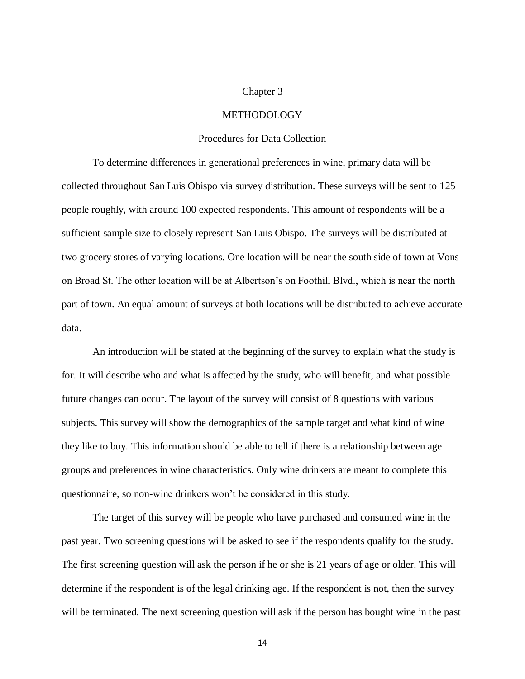# Chapter 3

# **METHODOLOGY**

# Procedures for Data Collection

To determine differences in generational preferences in wine, primary data will be collected throughout San Luis Obispo via survey distribution. These surveys will be sent to 125 people roughly, with around 100 expected respondents. This amount of respondents will be a sufficient sample size to closely represent San Luis Obispo. The surveys will be distributed at two grocery stores of varying locations. One location will be near the south side of town at Vons on Broad St. The other location will be at Albertson's on Foothill Blvd., which is near the north part of town. An equal amount of surveys at both locations will be distributed to achieve accurate data.

An introduction will be stated at the beginning of the survey to explain what the study is for. It will describe who and what is affected by the study, who will benefit, and what possible future changes can occur. The layout of the survey will consist of 8 questions with various subjects. This survey will show the demographics of the sample target and what kind of wine they like to buy. This information should be able to tell if there is a relationship between age groups and preferences in wine characteristics. Only wine drinkers are meant to complete this questionnaire, so non-wine drinkers won't be considered in this study.

The target of this survey will be people who have purchased and consumed wine in the past year. Two screening questions will be asked to see if the respondents qualify for the study. The first screening question will ask the person if he or she is 21 years of age or older. This will determine if the respondent is of the legal drinking age. If the respondent is not, then the survey will be terminated. The next screening question will ask if the person has bought wine in the past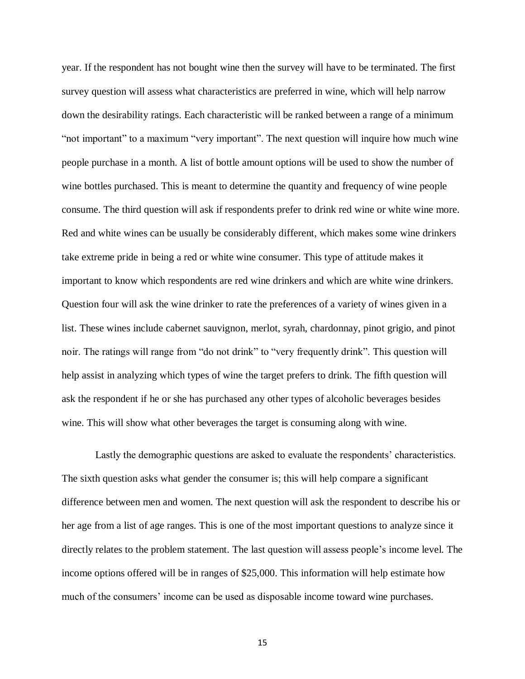year. If the respondent has not bought wine then the survey will have to be terminated. The first survey question will assess what characteristics are preferred in wine, which will help narrow down the desirability ratings. Each characteristic will be ranked between a range of a minimum "not important" to a maximum "very important". The next question will inquire how much wine people purchase in a month. A list of bottle amount options will be used to show the number of wine bottles purchased. This is meant to determine the quantity and frequency of wine people consume. The third question will ask if respondents prefer to drink red wine or white wine more. Red and white wines can be usually be considerably different, which makes some wine drinkers take extreme pride in being a red or white wine consumer. This type of attitude makes it important to know which respondents are red wine drinkers and which are white wine drinkers. Question four will ask the wine drinker to rate the preferences of a variety of wines given in a list. These wines include cabernet sauvignon, merlot, syrah, chardonnay, pinot grigio, and pinot noir. The ratings will range from "do not drink" to "very frequently drink". This question will help assist in analyzing which types of wine the target prefers to drink. The fifth question will ask the respondent if he or she has purchased any other types of alcoholic beverages besides wine. This will show what other beverages the target is consuming along with wine.

Lastly the demographic questions are asked to evaluate the respondents' characteristics. The sixth question asks what gender the consumer is; this will help compare a significant difference between men and women. The next question will ask the respondent to describe his or her age from a list of age ranges. This is one of the most important questions to analyze since it directly relates to the problem statement. The last question will assess people's income level. The income options offered will be in ranges of \$25,000. This information will help estimate how much of the consumers' income can be used as disposable income toward wine purchases.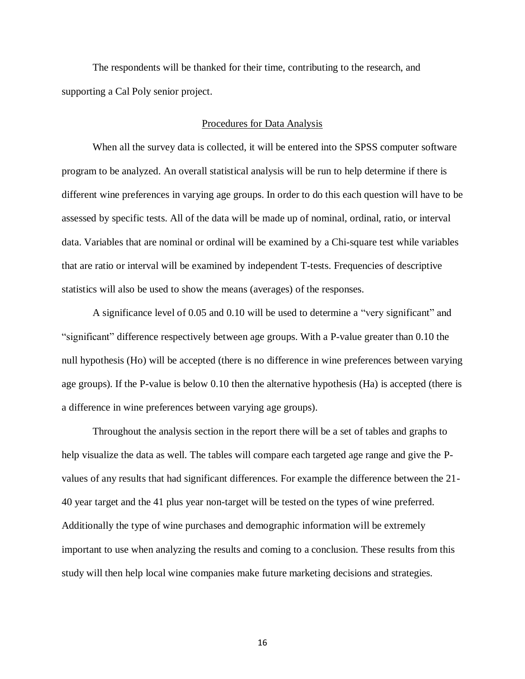The respondents will be thanked for their time, contributing to the research, and supporting a Cal Poly senior project.

### Procedures for Data Analysis

When all the survey data is collected, it will be entered into the SPSS computer software program to be analyzed. An overall statistical analysis will be run to help determine if there is different wine preferences in varying age groups. In order to do this each question will have to be assessed by specific tests. All of the data will be made up of nominal, ordinal, ratio, or interval data. Variables that are nominal or ordinal will be examined by a Chi-square test while variables that are ratio or interval will be examined by independent T-tests. Frequencies of descriptive statistics will also be used to show the means (averages) of the responses.

A significance level of 0.05 and 0.10 will be used to determine a "very significant" and "significant" difference respectively between age groups. With a P-value greater than 0.10 the null hypothesis (Ho) will be accepted (there is no difference in wine preferences between varying age groups). If the P-value is below 0.10 then the alternative hypothesis (Ha) is accepted (there is a difference in wine preferences between varying age groups).

Throughout the analysis section in the report there will be a set of tables and graphs to help visualize the data as well. The tables will compare each targeted age range and give the Pvalues of any results that had significant differences. For example the difference between the 21- 40 year target and the 41 plus year non-target will be tested on the types of wine preferred. Additionally the type of wine purchases and demographic information will be extremely important to use when analyzing the results and coming to a conclusion. These results from this study will then help local wine companies make future marketing decisions and strategies.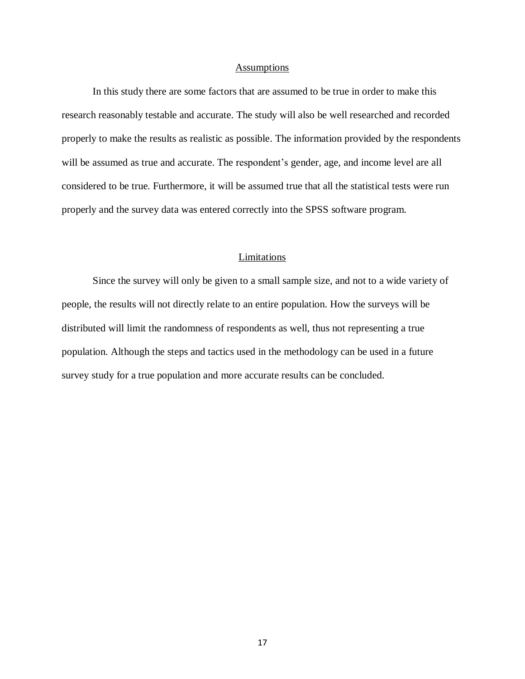# Assumptions

In this study there are some factors that are assumed to be true in order to make this research reasonably testable and accurate. The study will also be well researched and recorded properly to make the results as realistic as possible. The information provided by the respondents will be assumed as true and accurate. The respondent's gender, age, and income level are all considered to be true. Furthermore, it will be assumed true that all the statistical tests were run properly and the survey data was entered correctly into the SPSS software program.

# Limitations

Since the survey will only be given to a small sample size, and not to a wide variety of people, the results will not directly relate to an entire population. How the surveys will be distributed will limit the randomness of respondents as well, thus not representing a true population. Although the steps and tactics used in the methodology can be used in a future survey study for a true population and more accurate results can be concluded.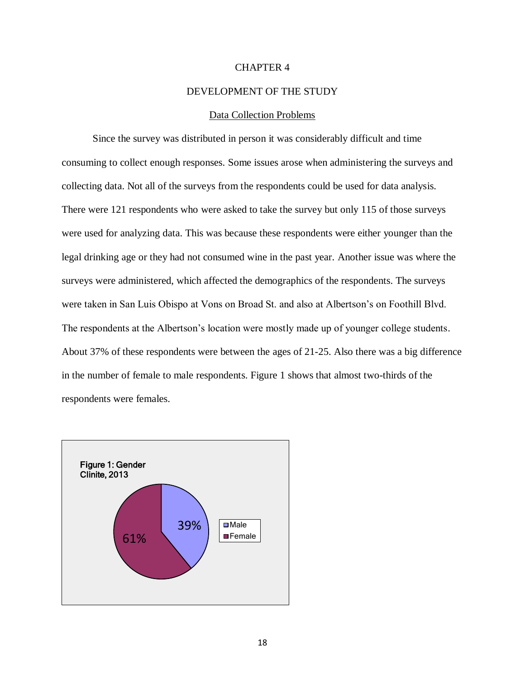# CHAPTER 4

# DEVELOPMENT OF THE STUDY

## Data Collection Problems

Since the survey was distributed in person it was considerably difficult and time consuming to collect enough responses. Some issues arose when administering the surveys and collecting data. Not all of the surveys from the respondents could be used for data analysis. There were 121 respondents who were asked to take the survey but only 115 of those surveys were used for analyzing data. This was because these respondents were either younger than the legal drinking age or they had not consumed wine in the past year. Another issue was where the surveys were administered, which affected the demographics of the respondents. The surveys were taken in San Luis Obispo at Vons on Broad St. and also at Albertson's on Foothill Blvd. The respondents at the Albertson's location were mostly made up of younger college students. About 37% of these respondents were between the ages of 21-25. Also there was a big difference in the number of female to male respondents. Figure 1 shows that almost two-thirds of the respondents were females.

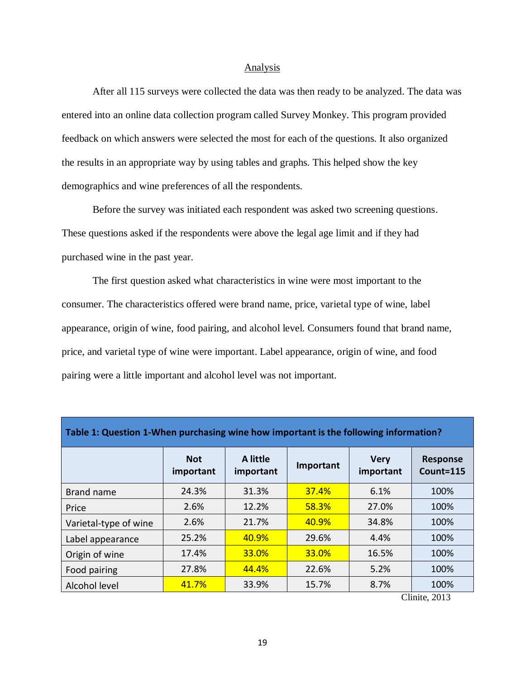#### Analysis

After all 115 surveys were collected the data was then ready to be analyzed. The data was entered into an online data collection program called Survey Monkey. This program provided feedback on which answers were selected the most for each of the questions. It also organized the results in an appropriate way by using tables and graphs. This helped show the key demographics and wine preferences of all the respondents.

Before the survey was initiated each respondent was asked two screening questions. These questions asked if the respondents were above the legal age limit and if they had purchased wine in the past year.

The first question asked what characteristics in wine were most important to the consumer. The characteristics offered were brand name, price, varietal type of wine, label appearance, origin of wine, food pairing, and alcohol level. Consumers found that brand name, price, and varietal type of wine were important. Label appearance, origin of wine, and food pairing were a little important and alcohol level was not important.

| Table 1: Question 1-When purchasing wine how important is the following information? |                         |                       |              |                          |                              |  |  |
|--------------------------------------------------------------------------------------|-------------------------|-----------------------|--------------|--------------------------|------------------------------|--|--|
|                                                                                      | <b>Not</b><br>important | A little<br>important | Important    | <b>Very</b><br>important | <b>Response</b><br>Count=115 |  |  |
| Brand name                                                                           | 24.3%                   | 31.3%                 | <b>37.4%</b> | 6.1%                     | 100%                         |  |  |
| Price                                                                                | 2.6%                    | 12.2%                 | <b>58.3%</b> | 27.0%                    | 100%                         |  |  |
| Varietal-type of wine                                                                | 2.6%                    | 21.7%                 | 40.9%        | 34.8%                    | 100%                         |  |  |
| Label appearance                                                                     | 25.2%                   | 40.9%                 | 29.6%        | 4.4%                     | 100%                         |  |  |
| Origin of wine                                                                       | 17.4%                   | 33.0%                 | <b>33.0%</b> | 16.5%                    | 100%                         |  |  |
| Food pairing                                                                         | 27.8%                   | 44.4%                 | 22.6%        | 5.2%                     | 100%                         |  |  |
| Alcohol level                                                                        | 41.7%                   | 33.9%                 | 15.7%        | 8.7%                     | 100%                         |  |  |

Clinite, 2013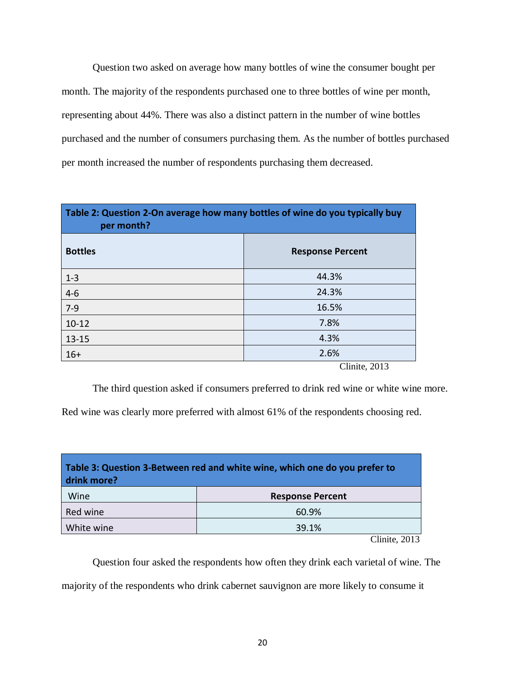Question two asked on average how many bottles of wine the consumer bought per month. The majority of the respondents purchased one to three bottles of wine per month, representing about 44%. There was also a distinct pattern in the number of wine bottles purchased and the number of consumers purchasing them. As the number of bottles purchased per month increased the number of respondents purchasing them decreased.

| Table 2: Question 2-On average how many bottles of wine do you typically buy<br>per month? |                         |  |  |
|--------------------------------------------------------------------------------------------|-------------------------|--|--|
| <b>Bottles</b>                                                                             | <b>Response Percent</b> |  |  |
| $1 - 3$                                                                                    | 44.3%                   |  |  |
| $4-6$                                                                                      | 24.3%                   |  |  |
| $7-9$                                                                                      | 16.5%                   |  |  |
| $10 - 12$                                                                                  | 7.8%                    |  |  |
| $13 - 15$                                                                                  | 4.3%                    |  |  |
| $16+$                                                                                      | 2.6%<br>71:1.0012       |  |  |

Clinite, 2013

The third question asked if consumers preferred to drink red wine or white wine more.

Red wine was clearly more preferred with almost 61% of the respondents choosing red.

| Table 3: Question 3-Between red and white wine, which one do you prefer to<br>drink more? |                                    |  |  |  |  |
|-------------------------------------------------------------------------------------------|------------------------------------|--|--|--|--|
| Wine                                                                                      | <b>Response Percent</b>            |  |  |  |  |
| Red wine                                                                                  | 60.9%                              |  |  |  |  |
| White wine<br>39.1%                                                                       |                                    |  |  |  |  |
|                                                                                           | $\sim$ $\sim$ $\sim$ $\sim$ $\sim$ |  |  |  |  |

Clinite, 2013

Question four asked the respondents how often they drink each varietal of wine. The

majority of the respondents who drink cabernet sauvignon are more likely to consume it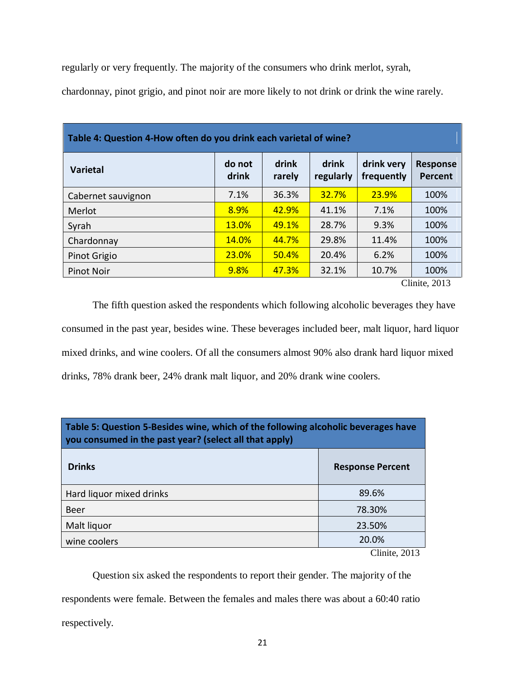regularly or very frequently. The majority of the consumers who drink merlot, syrah,

chardonnay, pinot grigio, and pinot noir are more likely to not drink or drink the wine rarely.

| Table 4: Question 4-How often do you drink each varietal of wine? |                 |                 |                    |                          |                                              |  |
|-------------------------------------------------------------------|-----------------|-----------------|--------------------|--------------------------|----------------------------------------------|--|
| <b>Varietal</b>                                                   | do not<br>drink | drink<br>rarely | drink<br>regularly | drink very<br>frequently | <b>Response</b><br><b>Percent</b>            |  |
| Cabernet sauvignon                                                | 7.1%            | 36.3%           | 32.7%              | 23.9%                    | 100%                                         |  |
| Merlot                                                            | 8.9%            | 42.9%           | 41.1%              | 7.1%                     | 100%                                         |  |
| Syrah                                                             | 13.0%           | 49.1%           | 28.7%              | 9.3%                     | 100%                                         |  |
| Chardonnay                                                        | 14.0%           | 44.7%           | 29.8%              | 11.4%                    | 100%                                         |  |
| Pinot Grigio                                                      | 23.0%           | 50.4%           | 20.4%              | 6.2%                     | 100%                                         |  |
| Pinot Noir                                                        | 9.8%            | 47.3%           | 32.1%              | 10.7%                    | 100%<br>$\sim$ 11 $\sim$ 1.<br>$\bigcap_{1}$ |  |

Clinite, 2013

The fifth question asked the respondents which following alcoholic beverages they have consumed in the past year, besides wine. These beverages included beer, malt liquor, hard liquor mixed drinks, and wine coolers. Of all the consumers almost 90% also drank hard liquor mixed drinks, 78% drank beer, 24% drank malt liquor, and 20% drank wine coolers.

| Table 5: Question 5-Besides wine, which of the following alcoholic beverages have<br>you consumed in the past year? (select all that apply) |                                          |  |  |
|---------------------------------------------------------------------------------------------------------------------------------------------|------------------------------------------|--|--|
| <b>Drinks</b>                                                                                                                               | <b>Response Percent</b>                  |  |  |
| Hard liquor mixed drinks                                                                                                                    | 89.6%                                    |  |  |
| <b>Beer</b>                                                                                                                                 | 78.30%                                   |  |  |
| Malt liquor                                                                                                                                 | 23.50%                                   |  |  |
| wine coolers                                                                                                                                | 20.0%                                    |  |  |
|                                                                                                                                             | $\Omega^{11}$ $\Omega$ $\Omega$ $\Omega$ |  |  |

Clinite, 2013

Question six asked the respondents to report their gender. The majority of the respondents were female. Between the females and males there was about a 60:40 ratio respectively.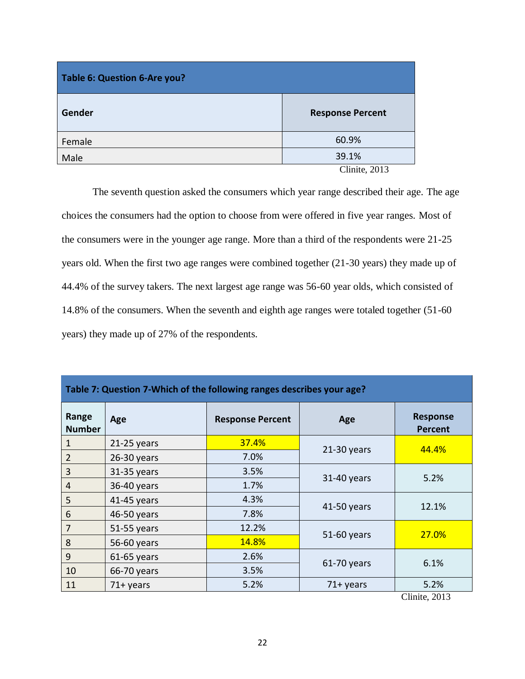| Table 6: Question 6-Are you? |                         |  |  |  |
|------------------------------|-------------------------|--|--|--|
| Gender                       | <b>Response Percent</b> |  |  |  |
| Female                       | 60.9%                   |  |  |  |
| Male                         | 39.1%                   |  |  |  |
|                              | Clinite, 2013           |  |  |  |

The seventh question asked the consumers which year range described their age. The age choices the consumers had the option to choose from were offered in five year ranges. Most of the consumers were in the younger age range. More than a third of the respondents were 21-25 years old. When the first two age ranges were combined together (21-30 years) they made up of 44.4% of the survey takers. The next largest age range was 56-60 year olds, which consisted of 14.8% of the consumers. When the seventh and eighth age ranges were totaled together (51-60 years) they made up of 27% of the respondents.

| Table 7: Question 7-Which of the following ranges describes your age? |               |                         |               |                                   |  |  |
|-----------------------------------------------------------------------|---------------|-------------------------|---------------|-----------------------------------|--|--|
| Range<br><b>Number</b>                                                | Age           | <b>Response Percent</b> | Age           | <b>Response</b><br><b>Percent</b> |  |  |
| $\mathbf{1}$                                                          | $21-25$ years | 37.4%                   | $21-30$ years | 44.4%                             |  |  |
| $\overline{2}$                                                        | $26-30$ years | 7.0%                    |               |                                   |  |  |
| $\overline{3}$                                                        | $31-35$ years | 3.5%                    | 31-40 years   | 5.2%                              |  |  |
| $\overline{4}$                                                        | 36-40 years   | 1.7%                    |               |                                   |  |  |
| 5                                                                     | 41-45 years   | 4.3%                    |               | 12.1%                             |  |  |
| $6\phantom{1}6$                                                       | 46-50 years   | 7.8%                    | 41-50 years   |                                   |  |  |
| $\overline{7}$                                                        | 51-55 years   | 12.2%                   | 51-60 years   | 27.0%                             |  |  |
| 8                                                                     | 56-60 years   | 14.8%                   |               |                                   |  |  |
| 9                                                                     | $61-65$ years | 2.6%                    |               |                                   |  |  |
| 10                                                                    | 66-70 years   | 3.5%                    | 61-70 years   | 6.1%                              |  |  |
| 11                                                                    | $71+$ years   | 5.2%                    | $71+$ years   | 5.2%                              |  |  |

Clinite, 2013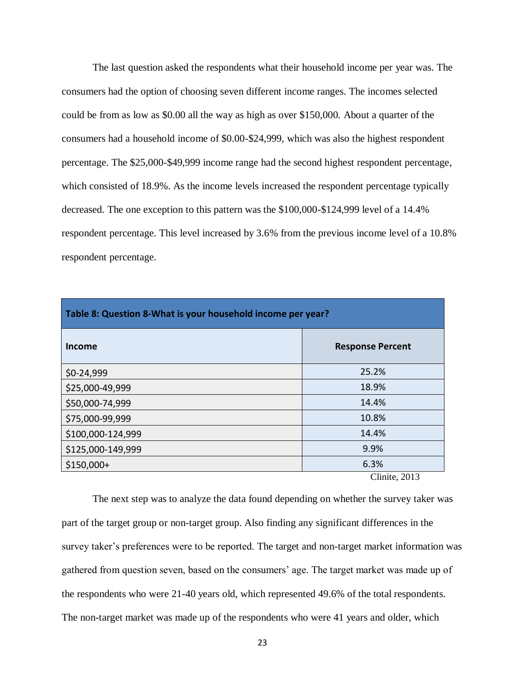The last question asked the respondents what their household income per year was. The consumers had the option of choosing seven different income ranges. The incomes selected could be from as low as \$0.00 all the way as high as over \$150,000. About a quarter of the consumers had a household income of \$0.00-\$24,999, which was also the highest respondent percentage. The \$25,000-\$49,999 income range had the second highest respondent percentage, which consisted of 18.9%. As the income levels increased the respondent percentage typically decreased. The one exception to this pattern was the \$100,000-\$124,999 level of a 14.4% respondent percentage. This level increased by 3.6% from the previous income level of a 10.8% respondent percentage.

| Table 8: Question 8-What is your household income per year? |                         |  |  |  |
|-------------------------------------------------------------|-------------------------|--|--|--|
| Income                                                      | <b>Response Percent</b> |  |  |  |
| \$0-24,999                                                  | 25.2%                   |  |  |  |
| \$25,000-49,999                                             | 18.9%                   |  |  |  |
| \$50,000-74,999                                             | 14.4%                   |  |  |  |
| \$75,000-99,999                                             | 10.8%                   |  |  |  |
| \$100,000-124,999                                           | 14.4%                   |  |  |  |
| \$125,000-149,999                                           | 9.9%                    |  |  |  |
| $$150,000+$                                                 | 6.3%                    |  |  |  |
|                                                             | Clinite, 2013           |  |  |  |

The next step was to analyze the data found depending on whether the survey taker was part of the target group or non-target group. Also finding any significant differences in the survey taker's preferences were to be reported. The target and non-target market information was gathered from question seven, based on the consumers' age. The target market was made up of the respondents who were 21-40 years old, which represented 49.6% of the total respondents. The non-target market was made up of the respondents who were 41 years and older, which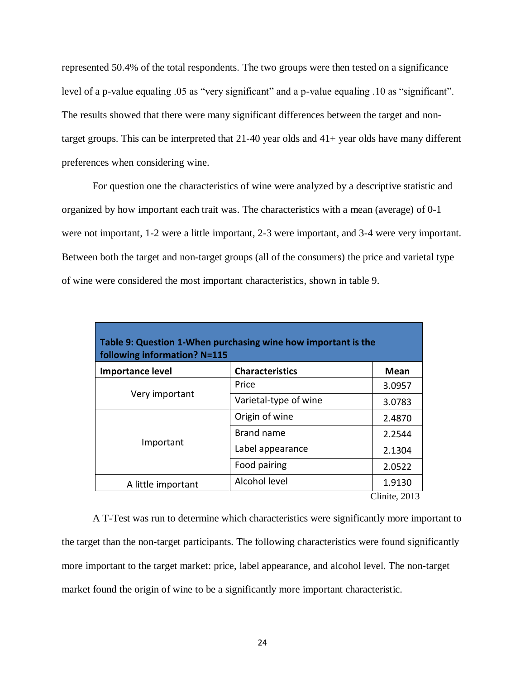represented 50.4% of the total respondents. The two groups were then tested on a significance level of a p-value equaling .05 as "very significant" and a p-value equaling .10 as "significant". The results showed that there were many significant differences between the target and nontarget groups. This can be interpreted that  $21-40$  year olds and  $41+$  year olds have many different preferences when considering wine.

For question one the characteristics of wine were analyzed by a descriptive statistic and organized by how important each trait was. The characteristics with a mean (average) of 0-1 were not important, 1-2 were a little important, 2-3 were important, and 3-4 were very important. Between both the target and non-target groups (all of the consumers) the price and varietal type of wine were considered the most important characteristics, shown in table 9.

| Table 9: Question 1-When purchasing wine how important is the<br>following information? N=115 |                        |        |  |  |  |
|-----------------------------------------------------------------------------------------------|------------------------|--------|--|--|--|
| <b>Importance level</b>                                                                       | <b>Characteristics</b> | Mean   |  |  |  |
|                                                                                               | Price                  | 3.0957 |  |  |  |
| Very important                                                                                | Varietal-type of wine  | 3.0783 |  |  |  |
|                                                                                               | Origin of wine         | 2.4870 |  |  |  |
|                                                                                               | <b>Brand name</b>      | 2.2544 |  |  |  |
| Important                                                                                     | Label appearance       | 2.1304 |  |  |  |
|                                                                                               | Food pairing           | 2.0522 |  |  |  |
| A little important                                                                            | Alcohol level          | 1.9130 |  |  |  |
| Clinite, 2013                                                                                 |                        |        |  |  |  |

A T-Test was run to determine which characteristics were significantly more important to the target than the non-target participants. The following characteristics were found significantly more important to the target market: price, label appearance, and alcohol level. The non-target market found the origin of wine to be a significantly more important characteristic.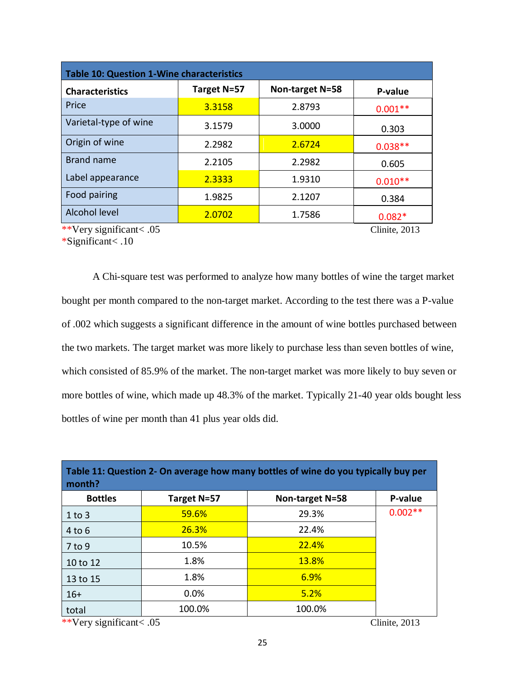| <b>Table 10: Question 1-Wine characteristics</b> |             |                 |           |  |  |
|--------------------------------------------------|-------------|-----------------|-----------|--|--|
| <b>Characteristics</b>                           | Target N=57 | Non-target N=58 | P-value   |  |  |
| Price                                            | 3.3158      | 2.8793          | $0.001**$ |  |  |
| Varietal-type of wine                            | 3.1579      | 3.0000          | 0.303     |  |  |
| Origin of wine                                   | 2.2982      | 2.6724          | $0.038**$ |  |  |
| Brand name                                       | 2.2105      | 2.2982          | 0.605     |  |  |
| Label appearance                                 | 2.3333      | 1.9310          | $0.010**$ |  |  |
| Food pairing                                     | 1.9825      | 2.1207          | 0.384     |  |  |
| Alcohol level                                    | 2.0702      | 1.7586          | $0.082*$  |  |  |
| **Very significant< .05<br>Clinite, 2013         |             |                 |           |  |  |

\*Significant< .10

A Chi-square test was performed to analyze how many bottles of wine the target market bought per month compared to the non-target market. According to the test there was a P-value of .002 which suggests a significant difference in the amount of wine bottles purchased between the two markets. The target market was more likely to purchase less than seven bottles of wine, which consisted of 85.9% of the market. The non-target market was more likely to buy seven or more bottles of wine, which made up 48.3% of the market. Typically 21-40 year olds bought less bottles of wine per month than 41 plus year olds did.

| Table 11: Question 2- On average how many bottles of wine do you typically buy per<br>month? |             |                 |           |
|----------------------------------------------------------------------------------------------|-------------|-----------------|-----------|
| <b>Bottles</b>                                                                               | Target N=57 | Non-target N=58 | P-value   |
| $1$ to 3                                                                                     | 59.6%       | 29.3%           | $0.002**$ |
| 4 to 6                                                                                       | 26.3%       | 22.4%           |           |
| 7 to 9                                                                                       | 10.5%       | 22.4%           |           |
| 10 to 12                                                                                     | 1.8%        | <b>13.8%</b>    |           |
| 13 to 15                                                                                     | 1.8%        | 6.9%            |           |
| $16+$                                                                                        | $0.0\%$     | 5.2%            |           |
| total                                                                                        | 100.0%      | 100.0%          |           |

\*\*Very significant< .05 Clinite, 2013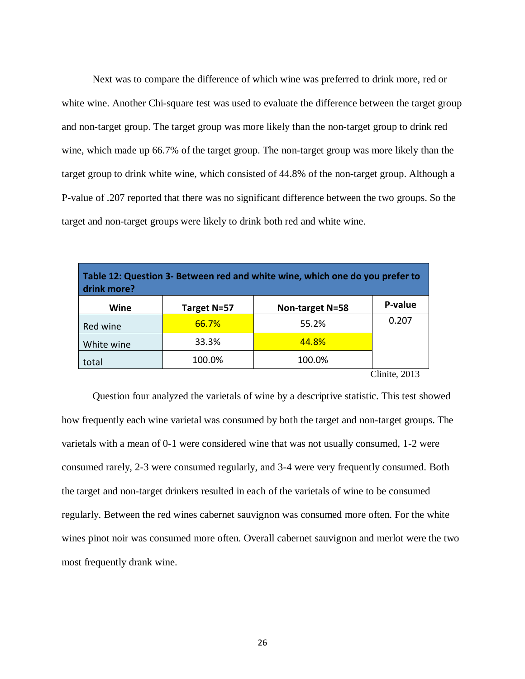Next was to compare the difference of which wine was preferred to drink more, red or white wine. Another Chi-square test was used to evaluate the difference between the target group and non-target group. The target group was more likely than the non-target group to drink red wine, which made up 66.7% of the target group. The non-target group was more likely than the target group to drink white wine, which consisted of 44.8% of the non-target group. Although a P-value of .207 reported that there was no significant difference between the two groups. So the target and non-target groups were likely to drink both red and white wine.

| Table 12: Question 3- Between red and white wine, which one do you prefer to<br>drink more? |             |                 |               |  |
|---------------------------------------------------------------------------------------------|-------------|-----------------|---------------|--|
| Wine                                                                                        | Target N=57 | Non-target N=58 | P-value       |  |
| Red wine                                                                                    | 66.7%       | 55.2%           | 0.207         |  |
| White wine                                                                                  | 33.3%       | 44.8%           |               |  |
| total                                                                                       | 100.0%      | 100.0%          |               |  |
|                                                                                             |             |                 | Clinite. 2013 |  |

Question four analyzed the varietals of wine by a descriptive statistic. This test showed how frequently each wine varietal was consumed by both the target and non-target groups. The varietals with a mean of 0-1 were considered wine that was not usually consumed, 1-2 were consumed rarely, 2-3 were consumed regularly, and 3-4 were very frequently consumed. Both the target and non-target drinkers resulted in each of the varietals of wine to be consumed regularly. Between the red wines cabernet sauvignon was consumed more often. For the white wines pinot noir was consumed more often. Overall cabernet sauvignon and merlot were the two most frequently drank wine.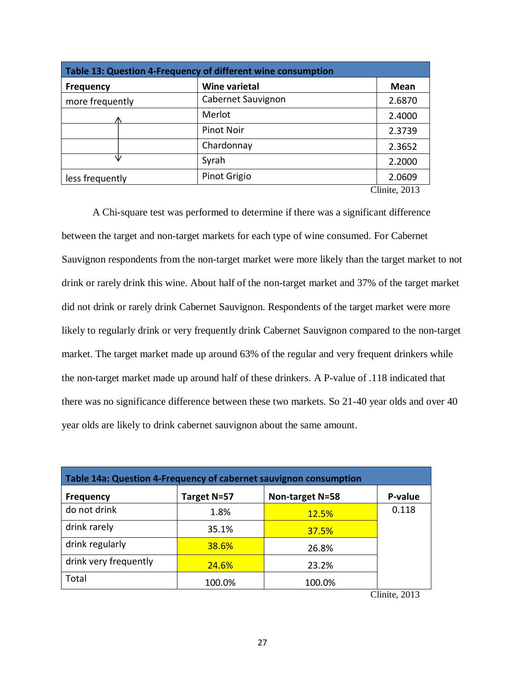| Table 13: Question 4-Frequency of different wine consumption |                      |               |  |
|--------------------------------------------------------------|----------------------|---------------|--|
| <b>Frequency</b>                                             | <b>Wine varietal</b> | <b>Mean</b>   |  |
| more frequently                                              | Cabernet Sauvignon   | 2.6870        |  |
|                                                              | Merlot               | 2.4000        |  |
|                                                              | Pinot Noir           | 2.3739        |  |
|                                                              | Chardonnay           | 2.3652        |  |
|                                                              | Syrah                | 2.2000        |  |
| less frequently                                              | Pinot Grigio         | 2.0609        |  |
|                                                              |                      | Clinite, 2013 |  |

A Chi-square test was performed to determine if there was a significant difference between the target and non-target markets for each type of wine consumed. For Cabernet Sauvignon respondents from the non-target market were more likely than the target market to not drink or rarely drink this wine. About half of the non-target market and 37% of the target market did not drink or rarely drink Cabernet Sauvignon. Respondents of the target market were more likely to regularly drink or very frequently drink Cabernet Sauvignon compared to the non-target market. The target market made up around 63% of the regular and very frequent drinkers while the non-target market made up around half of these drinkers. A P-value of .118 indicated that there was no significance difference between these two markets. So 21-40 year olds and over 40 year olds are likely to drink cabernet sauvignon about the same amount.

| Table 14a: Question 4-Frequency of cabernet sauvignon consumption |              |                 |         |
|-------------------------------------------------------------------|--------------|-----------------|---------|
| <b>Frequency</b>                                                  | Target N=57  | Non-target N=58 | P-value |
| do not drink                                                      | 1.8%         | 12.5%           | 0.118   |
| drink rarely                                                      | 35.1%        | 37.5%           |         |
| drink regularly                                                   | 38.6%        | 26.8%           |         |
| drink very frequently                                             | <b>24.6%</b> | 23.2%           |         |
| Total                                                             | 100.0%       | 100.0%          |         |

Clinite, 2013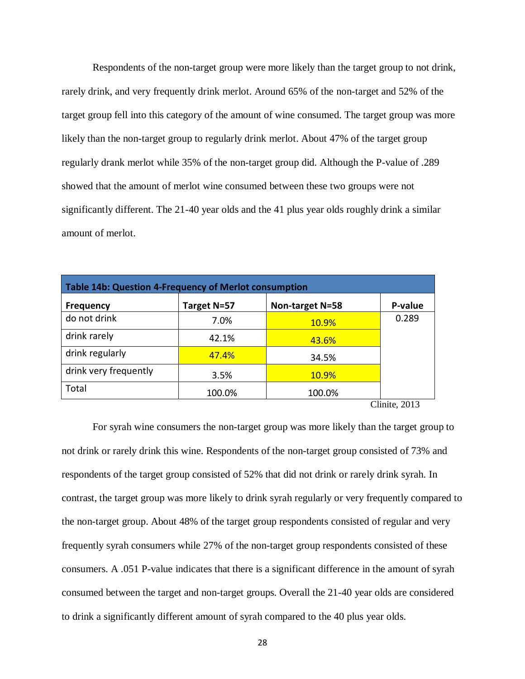Respondents of the non-target group were more likely than the target group to not drink, rarely drink, and very frequently drink merlot. Around 65% of the non-target and 52% of the target group fell into this category of the amount of wine consumed. The target group was more likely than the non-target group to regularly drink merlot. About 47% of the target group regularly drank merlot while 35% of the non-target group did. Although the P-value of .289 showed that the amount of merlot wine consumed between these two groups were not significantly different. The 21-40 year olds and the 41 plus year olds roughly drink a similar amount of merlot.

| Table 14b: Question 4-Frequency of Merlot consumption |                 |                  |  |
|-------------------------------------------------------|-----------------|------------------|--|
| Target N=57                                           | Non-target N=58 | P-value          |  |
| 7.0%                                                  | <b>10.9%</b>    | 0.289            |  |
| 42.1%                                                 | 43.6%           |                  |  |
| 47.4%                                                 | 34.5%           |                  |  |
| 3.5%                                                  | <b>10.9%</b>    |                  |  |
| 100.0%                                                | 100.0%          |                  |  |
|                                                       |                 | $Clinita$ $2012$ |  |

Clinite, 2013

For syrah wine consumers the non-target group was more likely than the target group to not drink or rarely drink this wine. Respondents of the non-target group consisted of 73% and respondents of the target group consisted of 52% that did not drink or rarely drink syrah. In contrast, the target group was more likely to drink syrah regularly or very frequently compared to the non-target group. About 48% of the target group respondents consisted of regular and very frequently syrah consumers while 27% of the non-target group respondents consisted of these consumers. A .051 P-value indicates that there is a significant difference in the amount of syrah consumed between the target and non-target groups. Overall the 21-40 year olds are considered to drink a significantly different amount of syrah compared to the 40 plus year olds.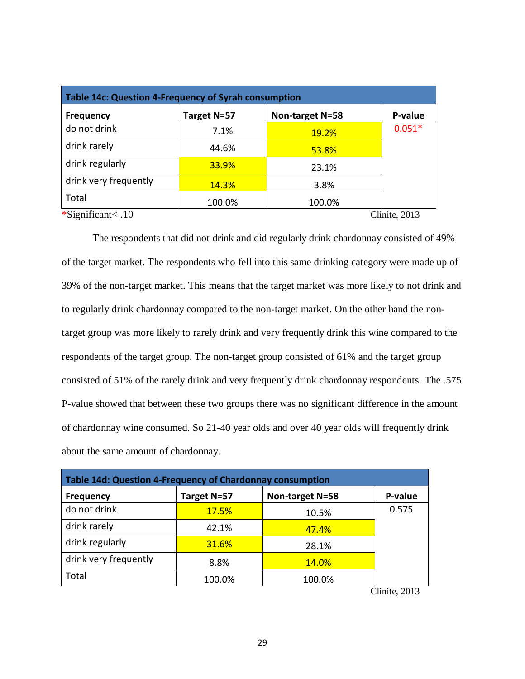| Table 14c: Question 4-Frequency of Syrah consumption |              |                 |          |
|------------------------------------------------------|--------------|-----------------|----------|
| <b>Frequency</b>                                     | Target N=57  | Non-target N=58 | P-value  |
| do not drink                                         | 7.1%         | <b>19.2%</b>    | $0.051*$ |
| drink rarely                                         | 44.6%        | 53.8%           |          |
| drink regularly                                      | <b>33.9%</b> | 23.1%           |          |
| drink very frequently                                | <b>14.3%</b> | 3.8%            |          |
| Total                                                | 100.0%       | 100.0%          |          |
| *Significant $< 0.10$<br>Clinite, 2013               |              |                 |          |

The respondents that did not drink and did regularly drink chardonnay consisted of 49% of the target market. The respondents who fell into this same drinking category were made up of 39% of the non-target market. This means that the target market was more likely to not drink and to regularly drink chardonnay compared to the non-target market. On the other hand the nontarget group was more likely to rarely drink and very frequently drink this wine compared to the respondents of the target group. The non-target group consisted of 61% and the target group consisted of 51% of the rarely drink and very frequently drink chardonnay respondents. The .575 P-value showed that between these two groups there was no significant difference in the amount of chardonnay wine consumed. So 21-40 year olds and over 40 year olds will frequently drink about the same amount of chardonnay.

| Table 14d: Question 4-Frequency of Chardonnay consumption |              |                 |                            |  |
|-----------------------------------------------------------|--------------|-----------------|----------------------------|--|
| <b>Frequency</b>                                          | Target N=57  | Non-target N=58 | P-value                    |  |
| do not drink                                              | <b>17.5%</b> | 10.5%           | 0.575                      |  |
| drink rarely                                              | 42.1%        | 47.4%           |                            |  |
| drink regularly                                           | 31.6%        | 28.1%           |                            |  |
| drink very frequently                                     | 8.8%         | 14.0%           |                            |  |
| Total                                                     | 100.0%       | 100.0%          | $\sim$ $\sim$<br>$\bigcap$ |  |

Clinite, 2013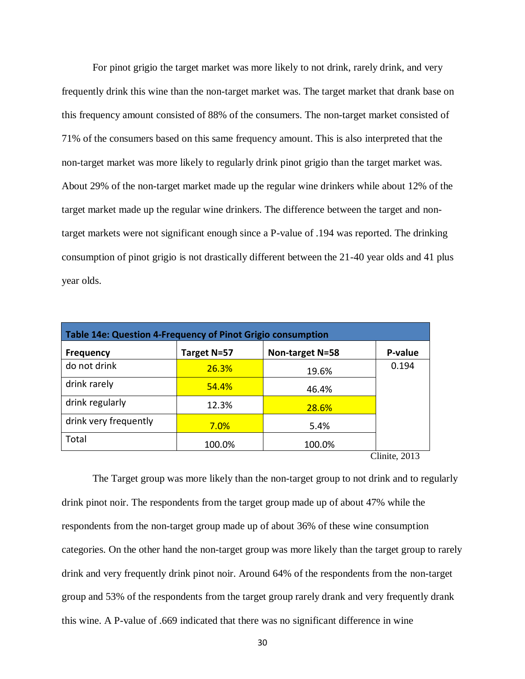For pinot grigio the target market was more likely to not drink, rarely drink, and very frequently drink this wine than the non-target market was. The target market that drank base on this frequency amount consisted of 88% of the consumers. The non-target market consisted of 71% of the consumers based on this same frequency amount. This is also interpreted that the non-target market was more likely to regularly drink pinot grigio than the target market was. About 29% of the non-target market made up the regular wine drinkers while about 12% of the target market made up the regular wine drinkers. The difference between the target and nontarget markets were not significant enough since a P-value of .194 was reported. The drinking consumption of pinot grigio is not drastically different between the 21-40 year olds and 41 plus year olds.

| Table 14e: Question 4-Frequency of Pinot Grigio consumption |              |                 |         |
|-------------------------------------------------------------|--------------|-----------------|---------|
| <b>Frequency</b>                                            | Target N=57  | Non-target N=58 | P-value |
| do not drink                                                | <b>26.3%</b> | 19.6%           | 0.194   |
| drink rarely                                                | 54.4%        | 46.4%           |         |
| drink regularly                                             | 12.3%        | 28.6%           |         |
| drink very frequently                                       | 7.0%         | 5.4%            |         |
| Total                                                       | 100.0%       | 100.0%          |         |
| Clinite, 2013                                               |              |                 |         |

The Target group was more likely than the non-target group to not drink and to regularly drink pinot noir. The respondents from the target group made up of about 47% while the respondents from the non-target group made up of about 36% of these wine consumption categories. On the other hand the non-target group was more likely than the target group to rarely drink and very frequently drink pinot noir. Around 64% of the respondents from the non-target group and 53% of the respondents from the target group rarely drank and very frequently drank this wine. A P-value of .669 indicated that there was no significant difference in wine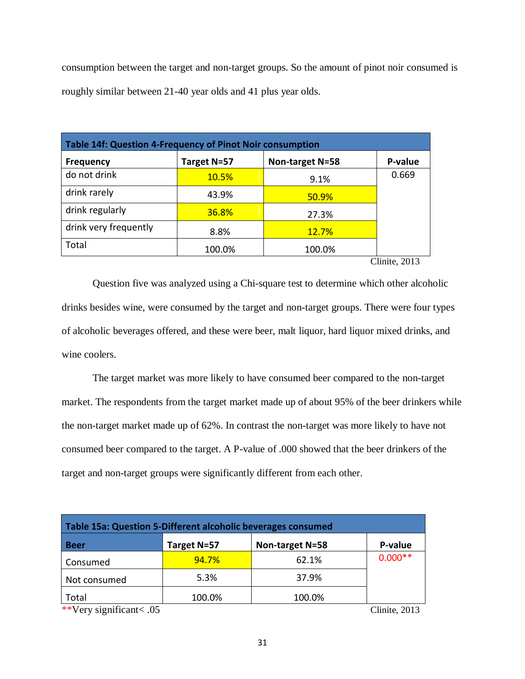consumption between the target and non-target groups. So the amount of pinot noir consumed is roughly similar between 21-40 year olds and 41 plus year olds.

| Table 14f: Question 4-Frequency of Pinot Noir consumption |             |                 |         |
|-----------------------------------------------------------|-------------|-----------------|---------|
| <b>Frequency</b>                                          | Target N=57 | Non-target N=58 | P-value |
| do not drink                                              | 10.5%       | 9.1%            | 0.669   |
| drink rarely                                              | 43.9%       | 50.9%           |         |
| drink regularly                                           | 36.8%       | 27.3%           |         |
| drink very frequently                                     | 8.8%        | <b>12.7%</b>    |         |
| Total                                                     | 100.0%      | 100.0%          |         |
| $C$ linita $2012$                                         |             |                 |         |

Clinite, 2013

Question five was analyzed using a Chi-square test to determine which other alcoholic drinks besides wine, were consumed by the target and non-target groups. There were four types of alcoholic beverages offered, and these were beer, malt liquor, hard liquor mixed drinks, and wine coolers.

The target market was more likely to have consumed beer compared to the non-target market. The respondents from the target market made up of about 95% of the beer drinkers while the non-target market made up of 62%. In contrast the non-target was more likely to have not consumed beer compared to the target. A P-value of .000 showed that the beer drinkers of the target and non-target groups were significantly different from each other.

| Table 15a: Question 5-Different alcoholic beverages consumed |             |                 |               |  |
|--------------------------------------------------------------|-------------|-----------------|---------------|--|
| <b>Beer</b>                                                  | Target N=57 | Non-target N=58 | P-value       |  |
| Consumed                                                     | 94.7%       | 62.1%           | $0.000**$     |  |
| Not consumed                                                 | 5.3%        | 37.9%           |               |  |
| Total                                                        | 100.0%      | 100.0%          |               |  |
| **Very significant<.05                                       |             |                 | Clinite, 2013 |  |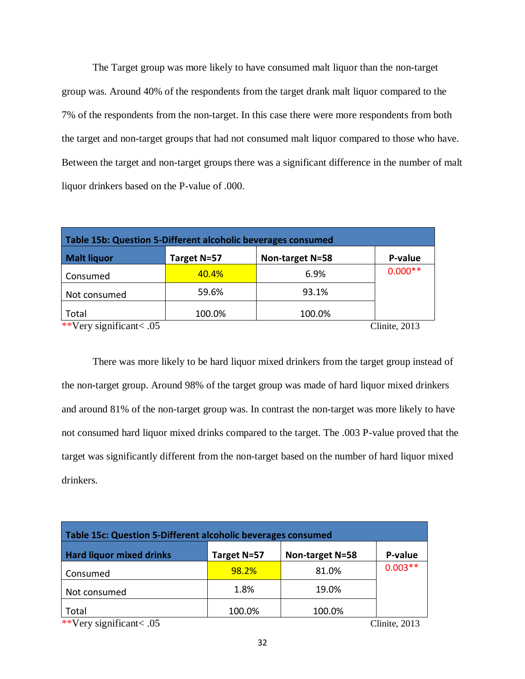The Target group was more likely to have consumed malt liquor than the non-target group was. Around 40% of the respondents from the target drank malt liquor compared to the 7% of the respondents from the non-target. In this case there were more respondents from both the target and non-target groups that had not consumed malt liquor compared to those who have. Between the target and non-target groups there was a significant difference in the number of malt liquor drinkers based on the P-value of .000.

| Table 15b: Question 5-Different alcoholic beverages consumed |             |                 |           |  |
|--------------------------------------------------------------|-------------|-----------------|-----------|--|
| <b>Malt liquor</b>                                           | Target N=57 | Non-target N=58 | P-value   |  |
| Consumed                                                     | 40.4%       | 6.9%            | $0.000**$ |  |
| Not consumed                                                 | 59.6%       | 93.1%           |           |  |
| Total                                                        | 100.0%      | 100.0%          |           |  |
| **Very significant<.05<br>Clinite, 2013                      |             |                 |           |  |

There was more likely to be hard liquor mixed drinkers from the target group instead of the non-target group. Around 98% of the target group was made of hard liquor mixed drinkers and around 81% of the non-target group was. In contrast the non-target was more likely to have not consumed hard liquor mixed drinks compared to the target. The .003 P-value proved that the target was significantly different from the non-target based on the number of hard liquor mixed drinkers.

| Table 15c: Question 5-Different alcoholic beverages consumed  |             |                 |           |  |
|---------------------------------------------------------------|-------------|-----------------|-----------|--|
| <b>Hard liquor mixed drinks</b>                               | Target N=57 | Non-target N=58 | P-value   |  |
| Consumed                                                      | 98.2%       | 81.0%           | $0.003**$ |  |
| Not consumed                                                  | 1.8%        | 19.0%           |           |  |
| Total<br>$\cdot$ $\sim$<br>1.11.11.17<br>$\sim$ $\sim$ $\sim$ | 100.0%      | 100.0%          |           |  |

\*\*Very significant< .05 Clinite, 2013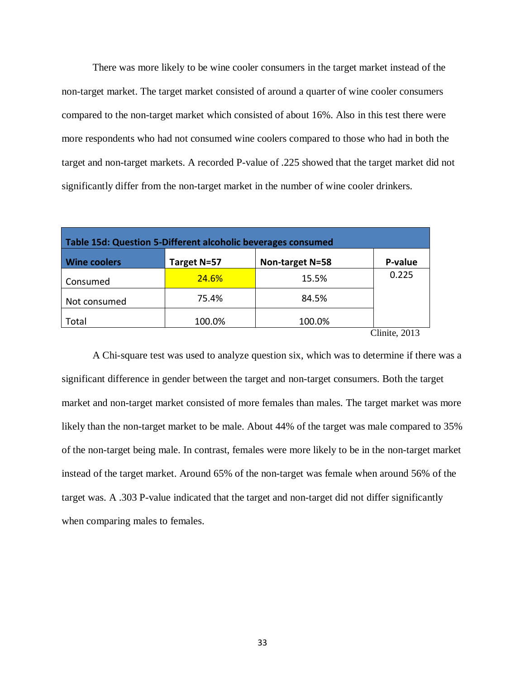There was more likely to be wine cooler consumers in the target market instead of the non-target market. The target market consisted of around a quarter of wine cooler consumers compared to the non-target market which consisted of about 16%. Also in this test there were more respondents who had not consumed wine coolers compared to those who had in both the target and non-target markets. A recorded P-value of .225 showed that the target market did not significantly differ from the non-target market in the number of wine cooler drinkers.

| Table 15d: Question 5-Different alcoholic beverages consumed |              |                 |         |  |  |
|--------------------------------------------------------------|--------------|-----------------|---------|--|--|
| <b>Wine coolers</b>                                          | Target N=57  | Non-target N=58 | P-value |  |  |
| Consumed                                                     | <b>24.6%</b> | 15.5%           | 0.225   |  |  |
| Not consumed                                                 | 75.4%        | 84.5%           |         |  |  |
| Total                                                        | 100.0%       | 100.0%          |         |  |  |
| Clinite. 2013                                                |              |                 |         |  |  |

A Chi-square test was used to analyze question six, which was to determine if there was a significant difference in gender between the target and non-target consumers. Both the target market and non-target market consisted of more females than males. The target market was more likely than the non-target market to be male. About 44% of the target was male compared to 35% of the non-target being male. In contrast, females were more likely to be in the non-target market instead of the target market. Around 65% of the non-target was female when around 56% of the target was. A .303 P-value indicated that the target and non-target did not differ significantly when comparing males to females.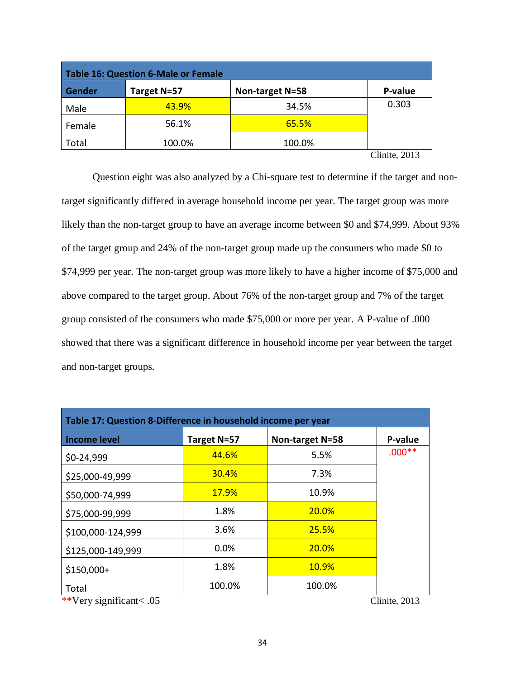| <b>Table 16: Question 6-Male or Female</b> |             |                 |                         |  |  |
|--------------------------------------------|-------------|-----------------|-------------------------|--|--|
| <b>Gender</b>                              | Target N=57 | Non-target N=58 | P-value                 |  |  |
| Male                                       | 43.9%       | 34.5%           | 0.303                   |  |  |
| Female                                     | 56.1%       | 65.5%           |                         |  |  |
| Total                                      | 100.0%      | 100.0%          |                         |  |  |
|                                            |             |                 | $\alpha_1$ , $\alpha_2$ |  |  |

Clinite, 2013

Question eight was also analyzed by a Chi-square test to determine if the target and nontarget significantly differed in average household income per year. The target group was more likely than the non-target group to have an average income between \$0 and \$74,999. About 93% of the target group and 24% of the non-target group made up the consumers who made \$0 to \$74,999 per year. The non-target group was more likely to have a higher income of \$75,000 and above compared to the target group. About 76% of the non-target group and 7% of the target group consisted of the consumers who made \$75,000 or more per year. A P-value of .000 showed that there was a significant difference in household income per year between the target and non-target groups.

| Table 17: Question 8-Difference in household income per year                                                         |              |                 |          |  |  |
|----------------------------------------------------------------------------------------------------------------------|--------------|-----------------|----------|--|--|
| <b>Income level</b>                                                                                                  | Target N=57  | Non-target N=58 | P-value  |  |  |
| \$0-24,999                                                                                                           | 44.6%        | 5.5%            | $.000**$ |  |  |
| \$25,000-49,999                                                                                                      | 30.4%        | 7.3%            |          |  |  |
| \$50,000-74,999                                                                                                      | <b>17.9%</b> | 10.9%           |          |  |  |
| \$75,000-99,999                                                                                                      | 1.8%         | <b>20.0%</b>    |          |  |  |
| \$100,000-124,999                                                                                                    | 3.6%         | 25.5%           |          |  |  |
| \$125,000-149,999                                                                                                    | 0.0%         | <b>20.0%</b>    |          |  |  |
| $$150,000+$                                                                                                          | 1.8%         | <b>10.9%</b>    |          |  |  |
| Total<br>$\cdot$ $\sim$<br>$\sim$ $\sim$<br>$\mathbf{r}$ , $\mathbf{r}$ , $\mathbf{r}$ , $\mathbf{r}$ , $\mathbf{r}$ | 100.0%       | 100.0%          |          |  |  |

\*\*Very significant< .05 Clinite, 2013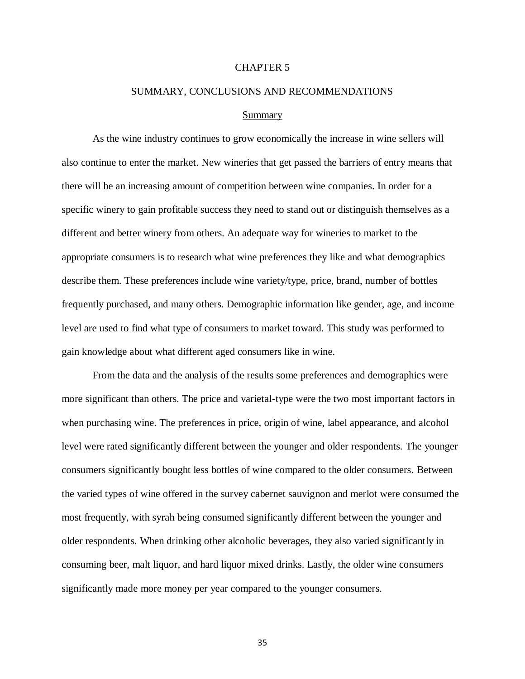# CHAPTER 5

# SUMMARY, CONCLUSIONS AND RECOMMENDATIONS

#### Summary

As the wine industry continues to grow economically the increase in wine sellers will also continue to enter the market. New wineries that get passed the barriers of entry means that there will be an increasing amount of competition between wine companies. In order for a specific winery to gain profitable success they need to stand out or distinguish themselves as a different and better winery from others. An adequate way for wineries to market to the appropriate consumers is to research what wine preferences they like and what demographics describe them. These preferences include wine variety/type, price, brand, number of bottles frequently purchased, and many others. Demographic information like gender, age, and income level are used to find what type of consumers to market toward. This study was performed to gain knowledge about what different aged consumers like in wine.

From the data and the analysis of the results some preferences and demographics were more significant than others. The price and varietal-type were the two most important factors in when purchasing wine. The preferences in price, origin of wine, label appearance, and alcohol level were rated significantly different between the younger and older respondents. The younger consumers significantly bought less bottles of wine compared to the older consumers. Between the varied types of wine offered in the survey cabernet sauvignon and merlot were consumed the most frequently, with syrah being consumed significantly different between the younger and older respondents. When drinking other alcoholic beverages, they also varied significantly in consuming beer, malt liquor, and hard liquor mixed drinks. Lastly, the older wine consumers significantly made more money per year compared to the younger consumers.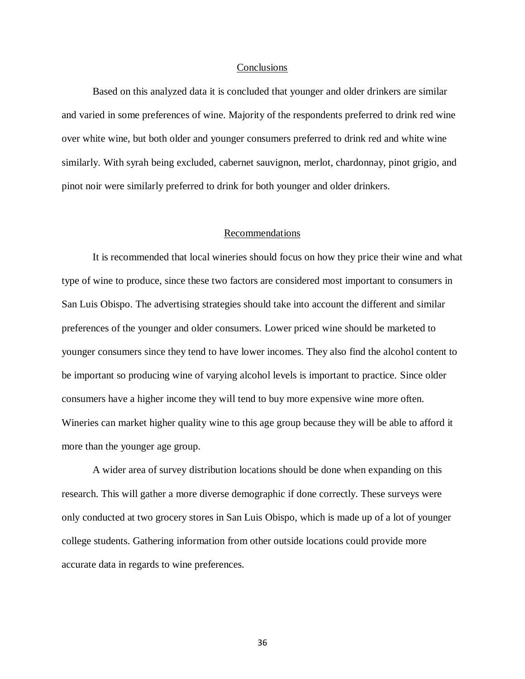#### **Conclusions**

Based on this analyzed data it is concluded that younger and older drinkers are similar and varied in some preferences of wine. Majority of the respondents preferred to drink red wine over white wine, but both older and younger consumers preferred to drink red and white wine similarly. With syrah being excluded, cabernet sauvignon, merlot, chardonnay, pinot grigio, and pinot noir were similarly preferred to drink for both younger and older drinkers.

# Recommendations

It is recommended that local wineries should focus on how they price their wine and what type of wine to produce, since these two factors are considered most important to consumers in San Luis Obispo. The advertising strategies should take into account the different and similar preferences of the younger and older consumers. Lower priced wine should be marketed to younger consumers since they tend to have lower incomes. They also find the alcohol content to be important so producing wine of varying alcohol levels is important to practice. Since older consumers have a higher income they will tend to buy more expensive wine more often. Wineries can market higher quality wine to this age group because they will be able to afford it more than the younger age group.

A wider area of survey distribution locations should be done when expanding on this research. This will gather a more diverse demographic if done correctly. These surveys were only conducted at two grocery stores in San Luis Obispo, which is made up of a lot of younger college students. Gathering information from other outside locations could provide more accurate data in regards to wine preferences.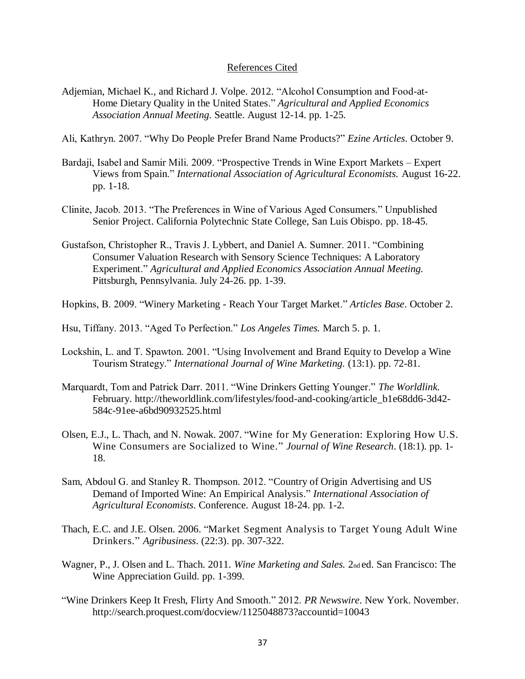# References Cited

Adjemian, Michael K., and Richard J. Volpe. 2012. "Alcohol Consumption and Food-at-Home Dietary Quality in the United States." *Agricultural and Applied Economics Association Annual Meeting.* Seattle. August 12-14. pp. 1-25.

Ali, Kathryn. 2007. "Why Do People Prefer Brand Name Products?" *Ezine Articles*. October 9.

- Bardajì, Isabel and Samir Mili. 2009. "Prospective Trends in Wine Export Markets Expert Views from Spain." *International Association of Agricultural Economists.* August 16-22. pp. 1-18.
- Clinite, Jacob. 2013. "The Preferences in Wine of Various Aged Consumers." Unpublished Senior Project. California Polytechnic State College, San Luis Obispo. pp. 18-45.
- Gustafson, Christopher R., Travis J. Lybbert, and Daniel A. Sumner. 2011. "Combining Consumer Valuation Research with Sensory Science Techniques: A Laboratory Experiment." *Agricultural and Applied Economics Association Annual Meeting*. Pittsburgh, Pennsylvania. July 24-26. pp. 1-39.
- Hopkins, B. 2009. "Winery Marketing Reach Your Target Market." *Articles Base*. October 2.
- Hsu, Tiffany. 2013. "Aged To Perfection." *Los Angeles Times.* March 5. p. 1.
- Lockshin, L. and T. Spawton. 2001. "Using Involvement and Brand Equity to Develop a Wine Tourism Strategy." *International Journal of Wine Marketing.* (13:1). pp. 72-81.
- Marquardt, Tom and Patrick Darr. 2011. "Wine Drinkers Getting Younger." *The Worldlink.* February. http://theworldlink.com/lifestyles/food-and-cooking/article\_b1e68dd6-3d42- 584c-91ee-a6bd90932525.html
- Olsen, E.J., L. Thach, and N. Nowak. 2007. "Wine for My Generation: Exploring How U.S. Wine Consumers are Socialized to Wine*.*" *Journal of Wine Research*. (18:1). pp. 1- 18.
- Sam, Abdoul G. and Stanley R. Thompson. 2012. "Country of Origin Advertising and US Demand of Imported Wine: An Empirical Analysis." *International Association of Agricultural Economists*. Conference. August 18-24. pp. 1-2.
- Thach, E.C. and J.E. Olsen. 2006. "Market Segment Analysis to Target Young Adult Wine Drinkers." *Agribusiness*. (22:3). pp. 307-322.
- Wagner, P., J. Olsen and L. Thach. 2011. *Wine Marketing and Sales.* 2nd ed. San Francisco: The Wine Appreciation Guild. pp. 1-399.
- "Wine Drinkers Keep It Fresh, Flirty And Smooth." 2012. *PR Newswire*. New York. November. http://search.proquest.com/docview/1125048873?accountid=10043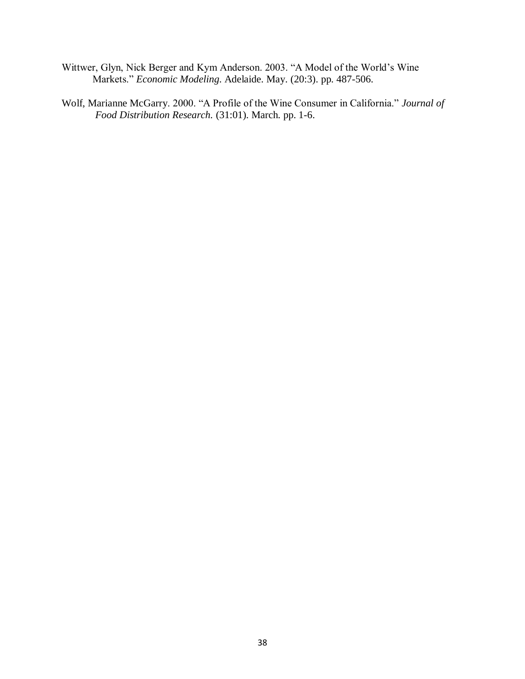- Wittwer, Glyn, Nick Berger and Kym Anderson. 2003. "A Model of the World's Wine Markets." *Economic Modeling*. Adelaide. May. (20:3). pp. 487-506.
- Wolf, Marianne McGarry. 2000. "A Profile of the Wine Consumer in California." *Journal of Food Distribution Research.* (31:01). March. pp. 1-6.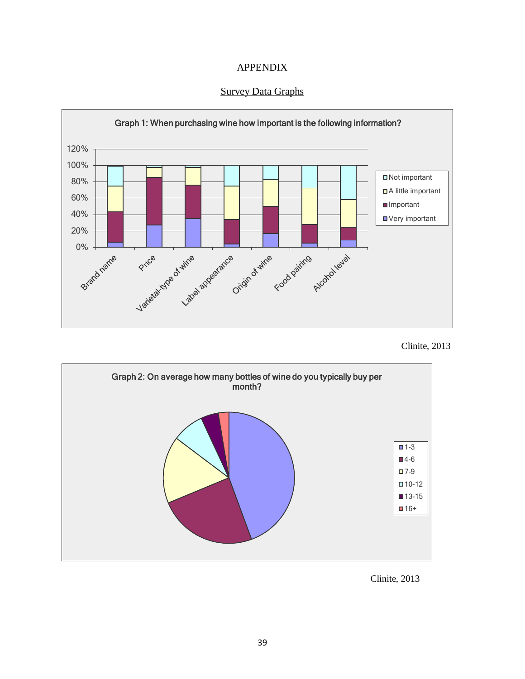



Survey Data Graphs





Clinite, 2013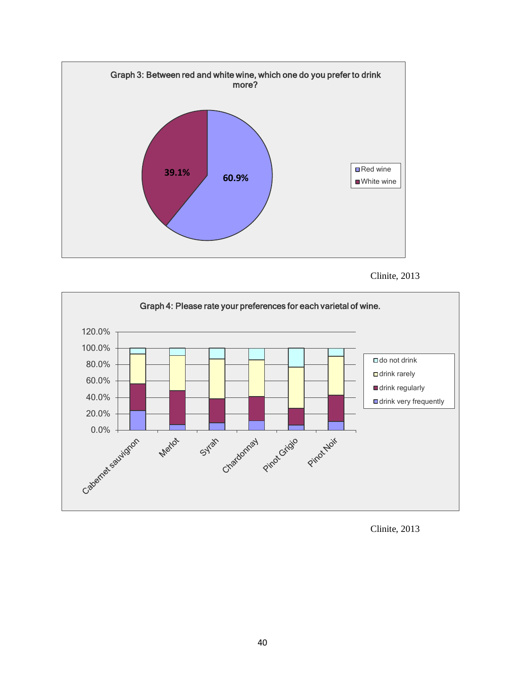





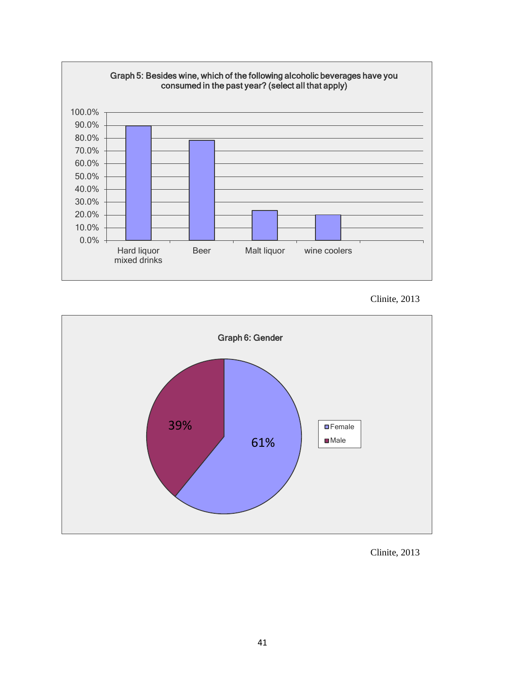

Clinite, 2013



Clinite, 2013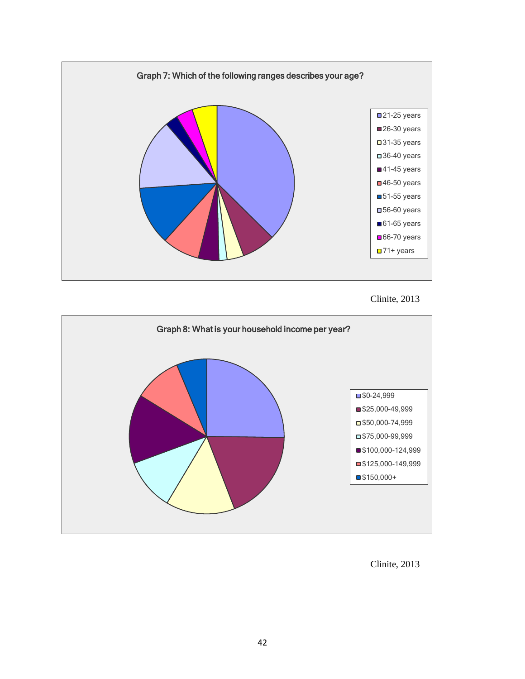

Clinite, 2013



Clinite, 2013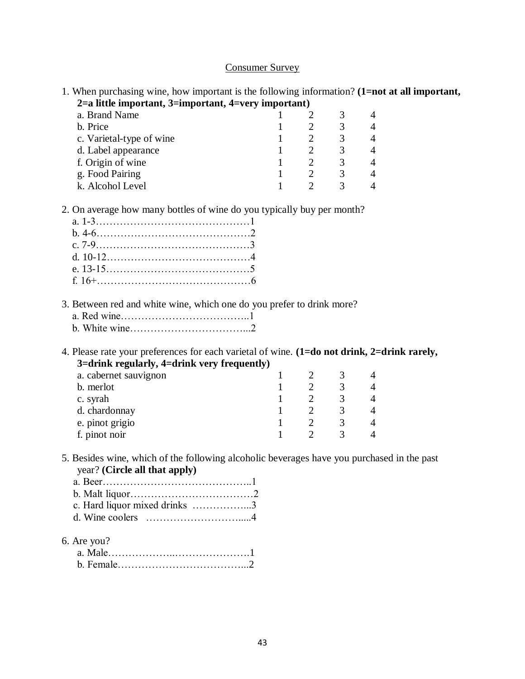# Consumer Survey

1. When purchasing wine, how important is the following information? **(1=not at all important, 2=a little important, 3=important, 4=very important)**

| a. Brand Name            |  |   |  |
|--------------------------|--|---|--|
| b. Price                 |  |   |  |
| c. Varietal-type of wine |  | 3 |  |
| d. Label appearance      |  | 3 |  |
| f. Origin of wine        |  |   |  |
| g. Food Pairing          |  | 2 |  |
| k. Alcohol Level         |  |   |  |

2. On average how many bottles of wine do you typically buy per month?

3. Between red and white wine, which one do you prefer to drink more?

4. Please rate your preferences for each varietal of wine. **(1=do not drink, 2=drink rarely, 3=drink regularly, 4=drink very frequently)**

| a. cabernet sauvignon |  |  |
|-----------------------|--|--|
| b. merlot             |  |  |
| c. syrah              |  |  |
| d. chardonnay         |  |  |
| e. pinot grigio       |  |  |
| f. pinot noir         |  |  |
|                       |  |  |

5. Besides wine, which of the following alcoholic beverages have you purchased in the past year? **(Circle all that apply)**

| c. Hard liquor mixed drinks 3                                       |  |
|---------------------------------------------------------------------|--|
| d. Wine coolers $\dots \dots \dots \dots \dots \dots \dots \dots 4$ |  |

6. Are you?